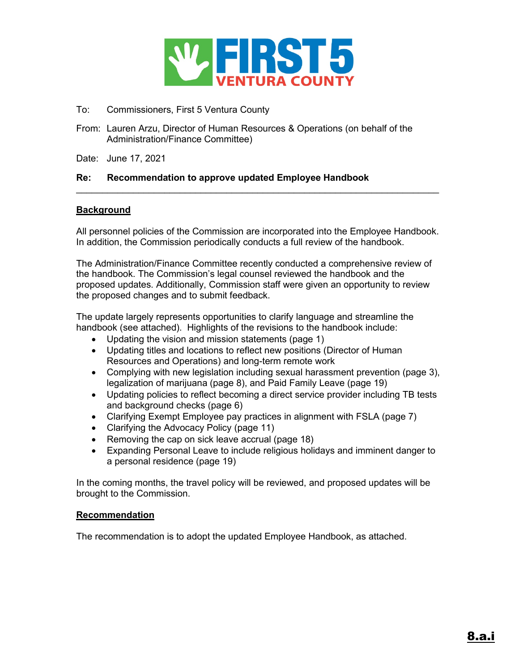

- To: Commissioners, First 5 Ventura County
- From: Lauren Arzu, Director of Human Resources & Operations (on behalf of the Administration/Finance Committee)

Date: June 17, 2021

# **Re: Recommendation to approve updated Employee Handbook**

# **Background**

All personnel policies of the Commission are incorporated into the Employee Handbook. In addition, the Commission periodically conducts a full review of the handbook.

 $\_$  , and the contribution of the contribution of  $\mathcal{L}_\mathcal{A}$  , and the contribution of  $\mathcal{L}_\mathcal{A}$  , and the contribution of  $\mathcal{L}_\mathcal{A}$ 

The Administration/Finance Committee recently conducted a comprehensive review of the handbook. The Commission's legal counsel reviewed the handbook and the proposed updates. Additionally, Commission staff were given an opportunity to review the proposed changes and to submit feedback.

The update largely represents opportunities to clarify language and streamline the handbook (see attached). Highlights of the revisions to the handbook include:

- Updating the vision and mission statements (page 1)
- Updating titles and locations to reflect new positions (Director of Human Resources and Operations) and long-term remote work
- Complying with new legislation including sexual harassment prevention (page 3), legalization of marijuana (page 8), and Paid Family Leave (page 19)
- Updating policies to reflect becoming a direct service provider including TB tests and background checks (page 6)
- Clarifying Exempt Employee pay practices in alignment with FSLA (page 7)
- Clarifying the Advocacy Policy (page 11)
- Removing the cap on sick leave accrual (page 18)
- Expanding Personal Leave to include religious holidays and imminent danger to a personal residence (page 19)

In the coming months, the travel policy will be reviewed, and proposed updates will be brought to the Commission.

# **Recommendation**

The recommendation is to adopt the updated Employee Handbook, as attached.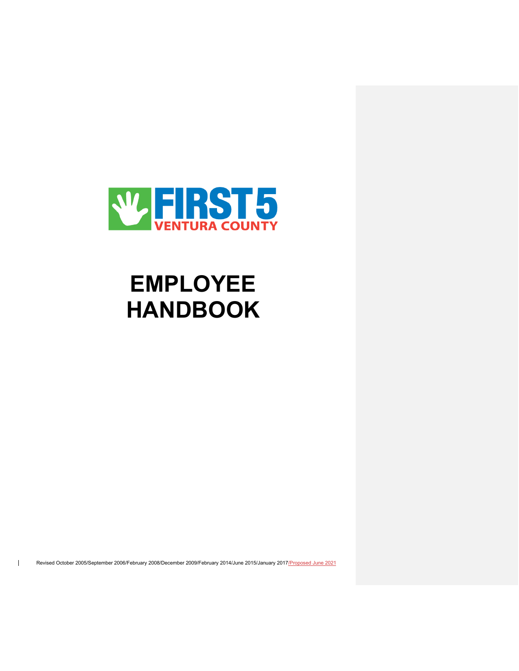

# **EMPLOYEE HANDBOOK**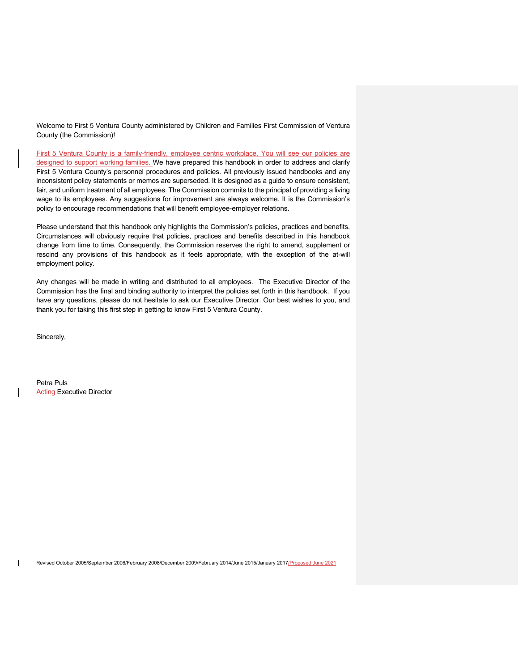Welcome to First 5 Ventura County administered by Children and Families First Commission of Ventura County (the Commission)!

First 5 Ventura County is a family-friendly, employee centric workplace. You will see our policies are designed to support working families. We have prepared this handbook in order to address and clarify First 5 Ventura County's personnel procedures and policies. All previously issued handbooks and any inconsistent policy statements or memos are superseded. It is designed as a guide to ensure consistent, fair, and uniform treatment of all employees. The Commission commits to the principal of providing a living wage to its employees. Any suggestions for improvement are always welcome. It is the Commission's policy to encourage recommendations that will benefit employee-employer relations.

Please understand that this handbook only highlights the Commission's policies, practices and benefits. Circumstances will obviously require that policies, practices and benefits described in this handbook change from time to time. Consequently, the Commission reserves the right to amend, supplement or rescind any provisions of this handbook as it feels appropriate, with the exception of the at-will employment policy.

Any changes will be made in writing and distributed to all employees. The Executive Director of the Commission has the final and binding authority to interpret the policies set forth in this handbook. If you have any questions, please do not hesitate to ask our Executive Director. Our best wishes to you, and thank you for taking this first step in getting to know First 5 Ventura County.

Sincerely,

Petra Puls **Acting-Executive Director**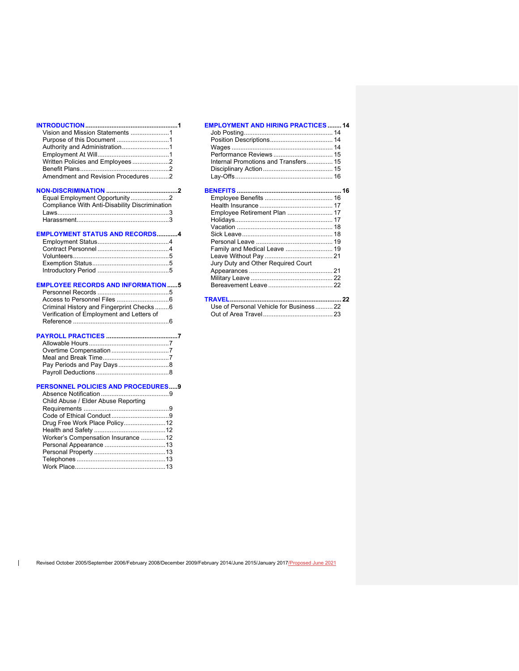| Vision and Mission Statements 1    |  |
|------------------------------------|--|
|                                    |  |
|                                    |  |
|                                    |  |
| Written Policies and Employees2    |  |
|                                    |  |
| Amendment and Revision Procedures2 |  |
|                                    |  |

**NON-DISCRIMINATION .........................................2** Equal Employment Opportunity ......................2 Compliance With Anti-Disability Discrimination Laws................................................................3 Harassment.....................................................3

# **EMPLOYMENT STATUS AND RECORDS............4**

#### **EMPLOYEE RECORDS AND INFORMATION ......5**

| Criminal History and Fingerprint Checks6  |  |
|-------------------------------------------|--|
| Verification of Employment and Letters of |  |
|                                           |  |

# **PAYROLL PRACTICES .........................................7**

# **PERSONNEL POLICIES AND PROCEDURES.....9**

| Child Abuse / Elder Abuse Reporting |  |
|-------------------------------------|--|
|                                     |  |
|                                     |  |
| Drug Free Work Place Policy12       |  |
|                                     |  |
| Worker's Compensation Insurance 12  |  |
|                                     |  |
|                                     |  |
|                                     |  |
|                                     |  |
|                                     |  |

| <b>EMPLOYMENT AND HIRING PRACTICES  14</b> |  |
|--------------------------------------------|--|
|                                            |  |
|                                            |  |
|                                            |  |
|                                            |  |
| Internal Promotions and Transfers 15       |  |
|                                            |  |
|                                            |  |
|                                            |  |
|                                            |  |
|                                            |  |
|                                            |  |
| Employee Retirement Plan  17               |  |
|                                            |  |
|                                            |  |
|                                            |  |
|                                            |  |
| Family and Medical Leave  19               |  |
|                                            |  |
| Jury Duty and Other Required Court         |  |
|                                            |  |
|                                            |  |
|                                            |  |

#### **TRAVEL................................................................ 22**

| Use of Personal Vehicle for Business 22 |  |
|-----------------------------------------|--|
|                                         |  |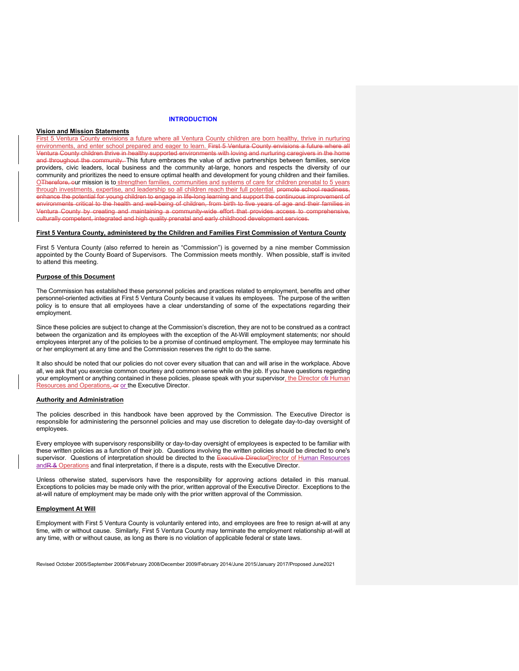# **INTRODUCTION**

#### **Vision and Mission Statements**

First 5 Ventura County envisions a future where all Ventura County children are born healthy, thrive in nurturing environments, and enter school prepared and eager to learn. First 5 Ventura County envisions a future where all Ventura County children thrive in healthy supported environments with loving and nurturing caregivers in the home and throughout the community. This future embraces the value of active partnerships between families, service providers, civic leaders, local business and the community at-large, honors and respects the diversity of our community and prioritizes the need to ensure optimal health and development for young children and their families. OTherefore, our mission is to strengthen families, communities and systems of care for children prenatal to 5 years through investments, expertise, and leadership so all children reach their full potential. promote school readiness, enhance the potential for young children to engage in life-long learning and support the continuous improvement of environments critical to the health and well-being of children, from birth to five years of age and their families in Ventura County by creating and maintaining a community-wide effort that provides access to comprehensive, culturally competent, integrated and high quality prenatal and early childhood development services.

#### **First 5 Ventura County, administered by the Children and Families First Commission of Ventura County**

First 5 Ventura County (also referred to herein as "Commission") is governed by a nine member Commission appointed by the County Board of Supervisors. The Commission meets monthly. When possible, staff is invited to attend this meeting.

#### **Purpose of this Document**

The Commission has established these personnel policies and practices related to employment, benefits and other personnel-oriented activities at First 5 Ventura County because it values its employees. The purpose of the written policy is to ensure that all employees have a clear understanding of some of the expectations regarding their employment.

Since these policies are subject to change at the Commission's discretion, they are not to be construed as a contract between the organization and its employees with the exception of the At-Will employment statements; nor should employees interpret any of the policies to be a promise of continued employment. The employee may terminate his or her employment at any time and the Commission reserves the right to do the same.

It also should be noted that our policies do not cover every situation that can and will arise in the workplace. Above all, we ask that you exercise common courtesy and common sense while on the job. If you have questions regarding your employment or anything contained in these policies, please speak with your supervisor, the Director of Human Resources and Operations, or or the Executive Director.

# **Authority and Administration**

The policies described in this handbook have been approved by the Commission. The Executive Director is responsible for administering the personnel policies and may use discretion to delegate day-to-day oversight of employees.

Every employee with supervisory responsibility or day-to-day oversight of employees is expected to be familiar with these written policies as a function of their job. Questions involving the written policies should be directed to one's supervisor. Questions of interpretation should be directed to the Executive DirectorDirector of Human Resources andR & Operations and final interpretation, if there is a dispute, rests with the Executive Director.

Unless otherwise stated, supervisors have the responsibility for approving actions detailed in this manual. Exceptions to policies may be made only with the prior, written approval of the Executive Director. Exceptions to the at-will nature of employment may be made only with the prior written approval of the Commission.

# **Employment At Will**

Employment with First 5 Ventura County is voluntarily entered into, and employees are free to resign at-will at any time, with or without cause. Similarly, First 5 Ventura County may terminate the employment relationship at-will at any time, with or without cause, as long as there is no violation of applicable federal or state laws.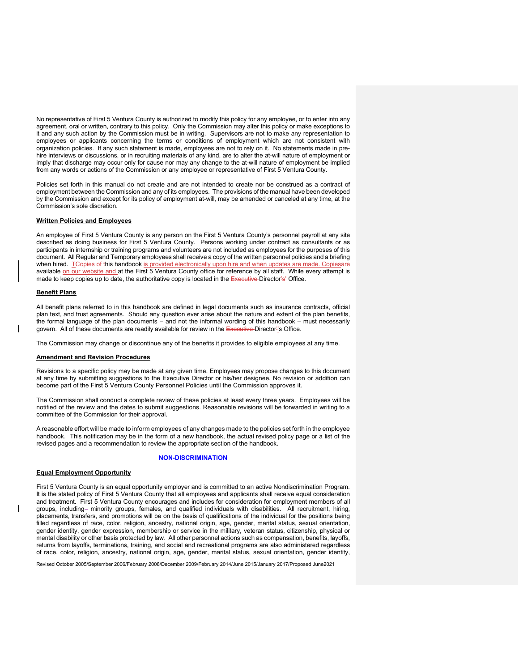No representative of First 5 Ventura County is authorized to modify this policy for any employee, or to enter into any agreement, oral or written, contrary to this policy. Only the Commission may alter this policy or make exceptions to it and any such action by the Commission must be in writing. Supervisors are not to make any representation to employees or applicants concerning the terms or conditions of employment which are not consistent with organization policies. If any such statement is made, employees are not to rely on it. No statements made in prehire interviews or discussions, or in recruiting materials of any kind, are to alter the at-will nature of employment or imply that discharge may occur only for cause nor may any change to the at-will nature of employment be implied from any words or actions of the Commission or any employee or representative of First 5 Ventura County.

Policies set forth in this manual do not create and are not intended to create nor be construed as a contract of employment between the Commission and any of its employees. The provisions of the manual have been developed by the Commission and except for its policy of employment at-will, may be amended or canceled at any time, at the Commission's sole discretion.

# **Written Policies and Employees**

An employee of First 5 Ventura County is any person on the First 5 Ventura County's personnel payroll at any site described as doing business for First 5 Ventura County. Persons working under contract as consultants or as participants in internship or training programs and volunteers are not included as employees for the purposes of this document. All Regular and Temporary employees shall receive a copy of the written personnel policies and a briefing when hired. TCopies of this handbook is provided electronically upon hire and when updates are made. Copiesare available on our website and at the First 5 Ventura County office for reference by all staff. While every attempt is made to keep copies up to date, the authoritative copy is located in the Executive Director's' Office.

# **Benefit Plans**

All benefit plans referred to in this handbook are defined in legal documents such as insurance contracts, official plan text, and trust agreements. Should any question ever arise about the nature and extent of the plan benefits, the formal language of the plan documents – and not the informal wording of this handbook – must necessarily govern. All of these documents are readily available for review in the Executive Director"s Office.

The Commission may change or discontinue any of the benefits it provides to eligible employees at any time.

# **Amendment and Revision Procedures**

Revisions to a specific policy may be made at any given time. Employees may propose changes to this document at any time by submitting suggestions to the Executive Director or his/her designee. No revision or addition can become part of the First 5 Ventura County Personnel Policies until the Commission approves it.

The Commission shall conduct a complete review of these policies at least every three years. Employees will be notified of the review and the dates to submit suggestions. Reasonable revisions will be forwarded in writing to a committee of the Commission for their approval.

A reasonable effort will be made to inform employees of any changes made to the policies set forth in the employee handbook. This notification may be in the form of a new handbook, the actual revised policy page or a list of the revised pages and a recommendation to review the appropriate section of the handbook.

#### **NON-DISCRIMINATION**

# **Equal Employment Opportunity**

First 5 Ventura County is an equal opportunity employer and is committed to an active Nondiscrimination Program. It is the stated policy of First 5 Ventura County that all employees and applicants shall receive equal consideration and treatment. First 5 Ventura County encourages and includes for consideration for employment members of all groups, including- minority groups, females, and qualified individuals with disabilities. All recruitment, hiring, placements, transfers, and promotions will be on the basis of qualifications of the individual for the positions being filled regardless of race, color, religion, ancestry, national origin, age, gender, marital status, sexual orientation, gender identity, gender expression, membership or service in the military, veteran status, citizenship, physical or mental disability or other basis protected by law. All other personnel actions such as compensation, benefits, layoffs, returns from layoffs, terminations, training, and social and recreational programs are also administered regardless of race, color, religion, ancestry, national origin, age, gender, marital status, sexual orientation, gender identity,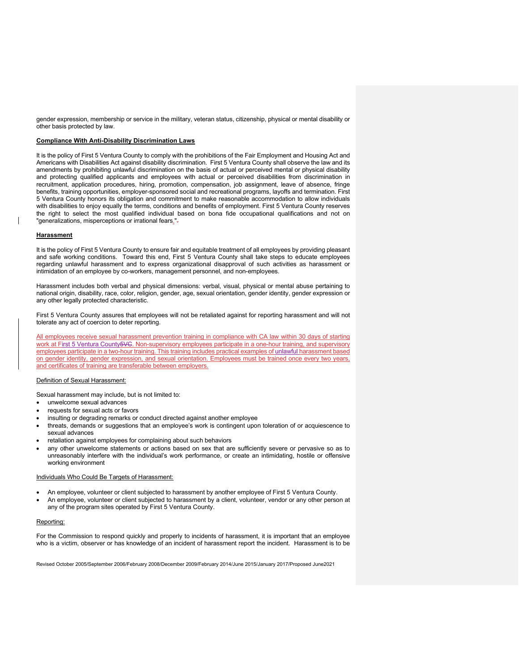gender expression, membership or service in the military, veteran status, citizenship, physical or mental disability or other basis protected by law.

# **Compliance With Anti-Disability Discrimination Laws**

It is the policy of First 5 Ventura County to comply with the prohibitions of the Fair Employment and Housing Act and Americans with Disabilities Act against disability discrimination. First 5 Ventura County shall observe the law and its amendments by prohibiting unlawful discrimination on the basis of actual or perceived mental or physical disability and protecting qualified applicants and employees with actual or perceived disabilities from discrimination in recruitment, application procedures, hiring, promotion, compensation, job assignment, leave of absence, fringe benefits, training opportunities, employer-sponsored social and recreational programs, layoffs and termination. First 5 Ventura County honors its obligation and commitment to make reasonable accommodation to allow individuals with disabilities to enjoy equally the terms, conditions and benefits of employment. First 5 Ventura County reserves the right to select the most qualified individual based on bona fide occupational qualifications and not on "generalizations, misperceptions or irrational fears.".

#### **Harassment**

It is the policy of First 5 Ventura County to ensure fair and equitable treatment of all employees by providing pleasant and safe working conditions. Toward this end, First 5 Ventura County shall take steps to educate employees regarding unlawful harassment and to express organizational disapproval of such activities as harassment or intimidation of an employee by co-workers, management personnel, and non-employees.

Harassment includes both verbal and physical dimensions: verbal, visual, physical or mental abuse pertaining to national origin, disability, race, color, religion, gender, age, sexual orientation, gender identity, gender expression or any other legally protected characteristic.

First 5 Ventura County assures that employees will not be retaliated against for reporting harassment and will not tolerate any act of coercion to deter reporting.

All employees receive sexual harassment prevention training in compliance with CA law within 30 days of starting work at First 5 Ventura County5VC. Non-supervisory employees participate in a one-hour training, and supervisory employees participate in a two-hour training. This training includes practical examples of unlawful harassment based on gender identity, gender expression, and sexual orientation. Employees must be trained once every two years, and certificates of training are transferable between employers.

# Definition of Sexual Harassment:

Sexual harassment may include, but is not limited to:

- unwelcome sexual advances
- requests for sexual acts or favors
- insulting or degrading remarks or conduct directed against another employee
- threats, demands or suggestions that an employee's work is contingent upon toleration of or acquiescence to sexual advances
- retaliation against employees for complaining about such behaviors
- any other unwelcome statements or actions based on sex that are sufficiently severe or pervasive so as to unreasonably interfere with the individual's work performance, or create an intimidating, hostile or offensive working environment

#### Individuals Who Could Be Targets of Harassment:

- An employee, volunteer or client subjected to harassment by another employee of First 5 Ventura County.
- An employee, volunteer or client subjected to harassment by a client, volunteer, vendor or any other person at any of the program sites operated by First 5 Ventura County.

#### Reporting:

For the Commission to respond quickly and properly to incidents of harassment, it is important that an employee who is a victim, observer or has knowledge of an incident of harassment report the incident. Harassment is to be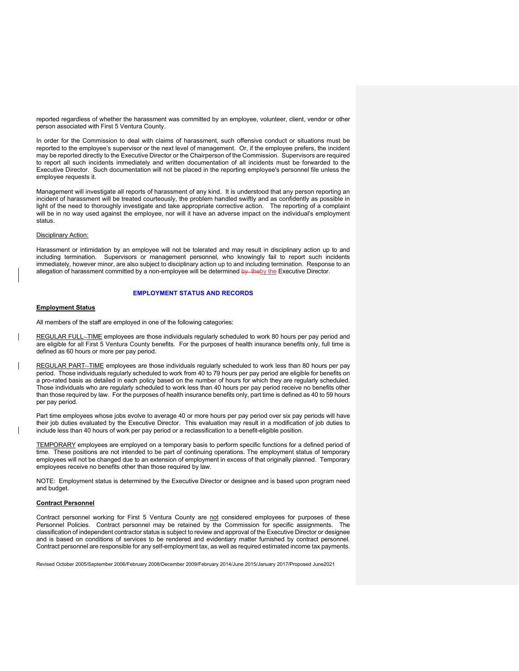reported regardless of whether the harassment was committed by an employee, volunteer, client, vendor or other person associated with First 5 Ventura County.

In order for the Commission to deal with claims of harassment, such offensive conduct or situations must be reported to the employee's supervisor or the next level of management. Or, if the employee prefers, the incident may be reported directly to the Executive Director or the Chairperson of the Commission. Supervisors are required to report all such incidents immediately and written documentation of all incidents must be forwarded to the Executive Director. Such documentation will not be placed in the reporting employee's personnel file unless the employee requests it.

Management will investigate all reports of harassment of any kind. It is understood that any person reporting an incident of harassment will be treated courteously, the problem handled swiftly and as confidently as possible in light of the need to thoroughly investigate and take appropriate corrective action. The reporting of a complaint will be in no way used against the employee, nor will it have an adverse impact on the individual's employment status.

# Disciplinary Action:

Harassment or intimidation by an employee will not be tolerated and may result in disciplinary action up to and including termination. Supervisors or management personnel, who knowingly fail to report such incidents immediately, however minor, are also subject to disciplinary action up to and including termination. Response to an allegation of harassment committed by a non-employee will be determined by theby the Executive Director.

# **EMPLOYMENT STATUS AND RECORDS**

# **Employment Status**

All members of the staff are employed in one of the following categories:

REGULAR FULL-TIME employees are those individuals regularly scheduled to work 80 hours per pay period and are eligible for all First 5 Ventura County benefits. For the purposes of health insurance benefits only, full time is defined as 60 hours or more per pay period.

REGULAR PART-TIME employees are those individuals regularly scheduled to work less than 80 hours per pay period. Those individuals regularly scheduled to work from 40 to 79 hours per pay period are eligible for benefits on a pro-rated basis as detailed in each policy based on the number of hours for which they are regularly scheduled. Those individuals who are regularly scheduled to work less than 40 hours per pay period receive no benefits other than those required by law. For the purposes of health insurance benefits only, part time is defined as 40 to 59 hours per pay period.

Part time employees whose jobs evolve to average 40 or more hours per pay period over six pay periods will have their job duties evaluated by the Executive Director. This evaluation may result in a modification of job duties to include less than 40 hours of work per pay period or a reclassification to a benefit-eligible position.

TEMPORARY employees are employed on a temporary basis to perform specific functions for a defined period of time. These positions are not intended to be part of continuing operations. The employment status of temporary employees will not be changed due to an extension of employment in excess of that originally planned. Temporary employees receive no benefits other than those required by law.

NOTE: Employment status is determined by the Executive Director or designee and is based upon program need and budget.

# **Contract Personnel**

Contract personnel working for First 5 Ventura County are not considered employees for purposes of these Personnel Policies. Contract personnel may be retained by the Commission for specific assignments. The classification of independent contractor status is subject to review and approval of the Executive Director or designee and is based on conditions of services to be rendered and evidentiary matter furnished by contract personnel. Contract personnel are responsible for any self-employment tax, as well as required estimated income tax payments.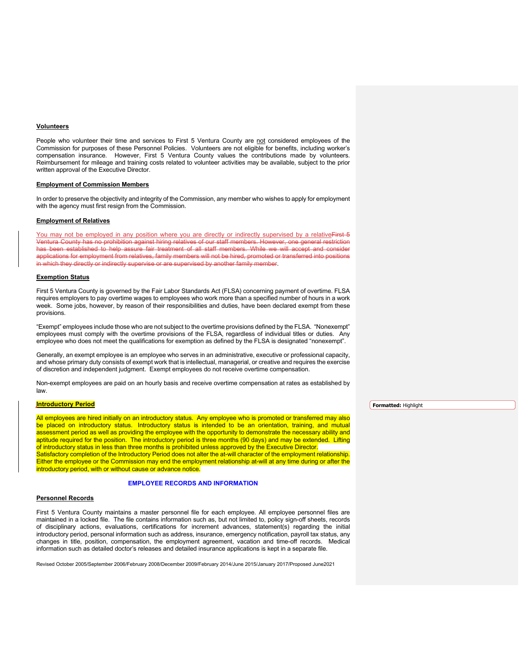#### **Volunteers**

People who volunteer their time and services to First 5 Ventura County are not considered employees of the Commission for purposes of these Personnel Policies. Volunteers are not eligible for benefits, including worker's compensation insurance. However, First 5 Ventura County values the contributions made by volunteers. Reimbursement for mileage and training costs related to volunteer activities may be available, subject to the prior written approval of the Executive Director.

#### **Employment of Commission Members**

In order to preserve the objectivity and integrity of the Commission, any member who wishes to apply for employment with the agency must first resign from the Commission.

#### **Employment of Relatives**

You may not be employed in any position where you are directly or indirectly supervised by a relativeFirst 5 Ventura County has no prohibition against hiring relatives of our staff members. However, one general restriction has been established to help assure fair treatment of all staff members. While we will accept and consider applications for employment from relatives, family members will not be hired, promoted or transferred into positions in which they directly or indirectly supervise or are supervised by another family member.

#### **Exemption Status**

First 5 Ventura County is governed by the Fair Labor Standards Act (FLSA) concerning payment of overtime. FLSA requires employers to pay overtime wages to employees who work more than a specified number of hours in a work week. Some jobs, however, by reason of their responsibilities and duties, have been declared exempt from these provisions.

"Exempt" employees include those who are not subject to the overtime provisions defined by the FLSA. "Nonexempt" employees must comply with the overtime provisions of the FLSA, regardless of individual titles or duties. Any employee who does not meet the qualifications for exemption as defined by the FLSA is designated "nonexempt".

Generally, an exempt employee is an employee who serves in an administrative, executive or professional capacity, and whose primary duty consists of exempt work that is intellectual, managerial, or creative and requires the exercise of discretion and independent judgment. Exempt employees do not receive overtime compensation.

Non-exempt employees are paid on an hourly basis and receive overtime compensation at rates as established by law.

# **Introductory Period**

All employees are hired initially on an introductory status. Any employee who is promoted or transferred may also be placed on introductory status. Introductory status is intended to be an orientation, training, and mutual assessment period as well as providing the employee with the opportunity to demonstrate the necessary ability and aptitude required for the position. The introductory period is three months (90 days) and may be extended. Lifting of introductory status in less than three months is prohibited unless approved by the Executive Director. Satisfactory completion of the Introductory Period does not alter the at-will character of the employment relationship. Either the employee or the Commission may end the employment relationship at-will at any time during or after the introductory period, with or without cause or advance notice.

#### **EMPLOYEE RECORDS AND INFORMATION**

#### **Personnel Records**

First 5 Ventura County maintains a master personnel file for each employee. All employee personnel files are maintained in a locked file. The file contains information such as, but not limited to, policy sign-off sheets, records of disciplinary actions, evaluations, certifications for increment advances, statement(s) regarding the initial introductory period, personal information such as address, insurance, emergency notification, payroll tax status, any changes in title, position, compensation, the employment agreement, vacation and time-off records. Medical information such as detailed doctor's releases and detailed insurance applications is kept in a separate file.

Revised October 2005/September 2006/February 2008/December 2009/February 2014/June 2015/January 2017/Proposed June2021

**Formatted:** Highlight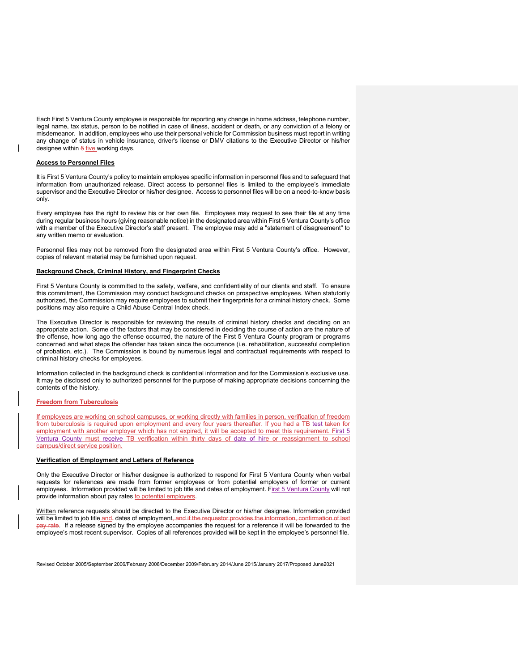Each First 5 Ventura County employee is responsible for reporting any change in home address, telephone number, legal name, tax status, person to be notified in case of illness, accident or death, or any conviction of a felony or misdemeanor. In addition, employees who use their personal vehicle for Commission business must report in writing any change of status in vehicle insurance, driver's license or DMV citations to the Executive Director or his/her designee within 5 five working days.

#### **Access to Personnel Files**

It is First 5 Ventura County's policy to maintain employee specific information in personnel files and to safeguard that information from unauthorized release. Direct access to personnel files is limited to the employee's immediate supervisor and the Executive Director or his/her designee. Access to personnel files will be on a need-to-know basis only.

Every employee has the right to review his or her own file. Employees may request to see their file at any time during regular business hours (giving reasonable notice) in the designated area within First 5 Ventura County's office with a member of the Executive Director's staff present. The employee may add a "statement of disagreement" to any written memo or evaluation.

Personnel files may not be removed from the designated area within First 5 Ventura County's office. However, copies of relevant material may be furnished upon request.

#### **Background Check, Criminal History, and Fingerprint Checks**

First 5 Ventura County is committed to the safety, welfare, and confidentiality of our clients and staff. To ensure this commitment, the Commission may conduct background checks on prospective employees. When statutorily authorized, the Commission may require employees to submit their fingerprints for a criminal history check. Some positions may also require a Child Abuse Central Index check.

The Executive Director is responsible for reviewing the results of criminal history checks and deciding on an appropriate action. Some of the factors that may be considered in deciding the course of action are the nature of the offense, how long ago the offense occurred, the nature of the First 5 Ventura County program or programs concerned and what steps the offender has taken since the occurrence (i.e. rehabilitation, successful completion of probation, etc.). The Commission is bound by numerous legal and contractual requirements with respect to criminal history checks for employees.

Information collected in the background check is confidential information and for the Commission's exclusive use. It may be disclosed only to authorized personnel for the purpose of making appropriate decisions concerning the contents of the history.

# **Freedom from Tuberculosis**

If employees are working on school campuses, or working directly with families in person, verification of freedom from tuberculosis is required upon employment and every four years thereafter. If you had a TB test taken for employment with another employer which has not expired, it will be accepted to meet this requirement. First 5 Ventura County must receive TB verification within thirty days of date of hire or reassignment to school campus/direct service position.

# **Verification of Employment and Letters of Reference**

Only the Executive Director or his/her designee is authorized to respond for First 5 Ventura County when verbal requests for references are made from former employees or from potential employers of former or current employees. Information provided will be limited to job title and dates of employment. First 5 Ventura County will not provide information about pay rates to potential employers.

Written reference requests should be directed to the Executive Director or his/her designee. Information provided will be limited to job title and, dates of employment, and if the requestor provides the in pay rate. If a release signed by the employee accompanies the request for a reference it will be forwarded to the employee's most recent supervisor. Copies of all references provided will be kept in the employee's personnel file.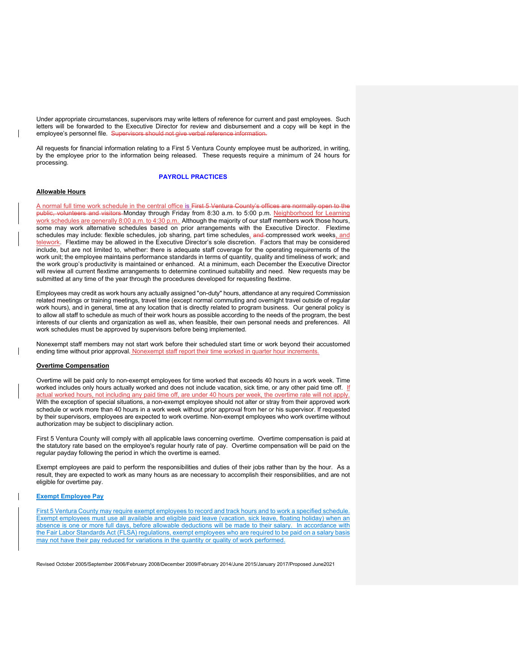Under appropriate circumstances, supervisors may write letters of reference for current and past employees. Such letters will be forwarded to the Executive Director for review and disbursement and a copy will be kept in the employee's personnel file. Supervisors should not give verbal reference information.

All requests for financial information relating to a First 5 Ventura County employee must be authorized, in writing, by the employee prior to the information being released. These requests require a minimum of 24 hours for processing.

# **PAYROLL PRACTICES**

# **Allowable Hours**

A normal full time work schedule in the central office is First 5 Ventura County's offices are normally open to the public, volunteers and visitors Monday through Friday from 8:30 a.m. to 5:00 p.m. Neighborhood for Learning work schedules are generally 8:00 a.m. to 4:30 p.m. Although the majority of our staff members work those hours, some may work alternative schedules based on prior arrangements with the Executive Director. Flextime schedules may include: flexible schedules, job sharing, part time schedules, and compressed work weeks, and telework. Flextime may be allowed in the Executive Director's sole discretion. Factors that may be considered include, but are not limited to, whether: there is adequate staff coverage for the operating requirements of the work unit; the employee maintains performance standards in terms of quantity, quality and timeliness of work; and the work group's productivity is maintained or enhanced. At a minimum, each December the Executive Director will review all current flextime arrangements to determine continued suitability and need. New requests may be submitted at any time of the year through the procedures developed for requesting flextime.

Employees may credit as work hours any actually assigned "on-duty" hours, attendance at any required Commission related meetings or training meetings, travel time (except normal commuting and overnight travel outside of regular work hours), and in general, time at any location that is directly related to program business. Our general policy is to allow all staff to schedule as much of their work hours as possible according to the needs of the program, the best interests of our clients and organization as well as, when feasible, their own personal needs and preferences. All work schedules must be approved by supervisors before being implemented.

Nonexempt staff members may not start work before their scheduled start time or work beyond their accustomed ending time without prior approval. Nonexempt staff report their time worked in quarter hour increments.

#### **Overtime Compensation**

Overtime will be paid only to non-exempt employees for time worked that exceeds 40 hours in a work week. Time worked includes only hours actually worked and does not include vacation, sick time, or any other paid time off. If actual worked hours, not including any paid time off, are under 40 hours per week, the overtime rate will not apply. With the exception of special situations, a non-exempt employee should not alter or stray from their approved work schedule or work more than 40 hours in a work week without prior approval from her or his supervisor. If requested by their supervisors, employees are expected to work overtime. Non-exempt employees who work overtime without authorization may be subject to disciplinary action.

First 5 Ventura County will comply with all applicable laws concerning overtime. Overtime compensation is paid at the statutory rate based on the employee's regular hourly rate of pay. Overtime compensation will be paid on the regular payday following the period in which the overtime is earned.

Exempt employees are paid to perform the responsibilities and duties of their jobs rather than by the hour. As a result, they are expected to work as many hours as are necessary to accomplish their responsibilities, and are not eligible for overtime pay.

#### **Exempt Employee Pay**

First 5 Ventura County may require exempt employees to record and track hours and to work a specified schedule. Exempt employees must use all available and eligible paid leave (vacation, sick leave, floating holiday) when an absence is one or more full days, before allowable deductions will be made to their salary. In accordance with the Fair Labor Standards Act (FLSA) regulations, exempt employees who are required to be paid on a salary basis may not have their pay reduced for variations in the quantity or quality of work performed.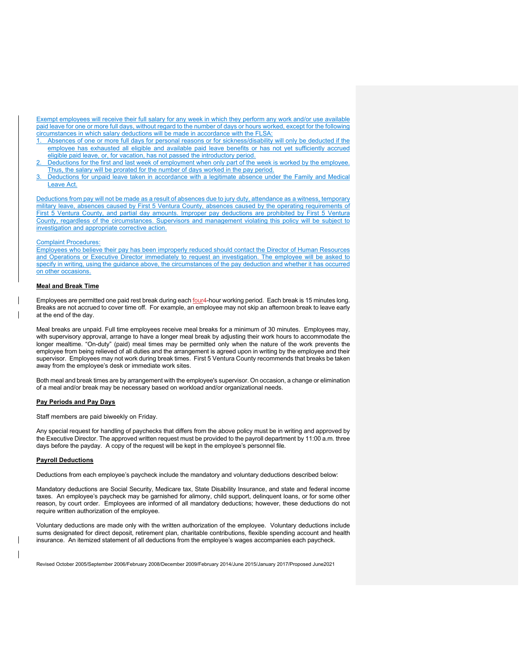Exempt employees will receive their full salary for any week in which they perform any work and/or use available paid leave for one or more full days, without regard to the number of days or hours worked, except for the following circumstances in which salary deductions will be made in accordance with the FLSA:

- Absences of one or more full days for personal reasons or for sickness/disability will only be deducted if the employee has exhausted all eligible and available paid leave benefits or has not yet sufficiently accrued eligible paid leave, or, for vacation, has not passed the introductory period.
- 2. Deductions for the first and last week of employment when only part of the week is worked by the employee. Thus, the salary will be prorated for the number of days worked in the pay period.
- Deductions for unpaid leave taken in accordance with a legitimate absence under the Family and Medical Leave Act.

Deductions from pay will not be made as a result of absences due to jury duty, attendance as a witness, temporary military leave, absences caused by First 5 Ventura County, absences caused by the operating requirements of First 5 Ventura County, and partial day amounts. Improper pay deductions are prohibited by First 5 Ventura County, regardless of the circumstances. Supervisors and management violating this policy will be subject to investigation and appropriate corrective action.

#### Complaint Procedures:

Employees who believe their pay has been improperly reduced should contact the Director of Human Resources and Operations or Executive Director immediately to request an investigation. The employee will be asked to specify in writing, using the guidance above, the circumstances of the pay deduction and whether it has occurred on other occasions.

#### **Meal and Break Time**

Employees are permitted one paid rest break during each four4-hour working period. Each break is 15 minutes long. Breaks are not accrued to cover time off. For example, an employee may not skip an afternoon break to leave early at the end of the day.

Meal breaks are unpaid. Full time employees receive meal breaks for a minimum of 30 minutes. Employees may, with supervisory approval, arrange to have a longer meal break by adjusting their work hours to accommodate the longer mealtime. "On-duty" (paid) meal times may be permitted only when the nature of the work prevents the employee from being relieved of all duties and the arrangement is agreed upon in writing by the employee and their supervisor. Employees may not work during break times. First 5 Ventura County recommends that breaks be taken away from the employee's desk or immediate work sites.

Both meal and break times are by arrangement with the employee's supervisor. On occasion, a change or elimination of a meal and/or break may be necessary based on workload and/or organizational needs.

#### **Pay Periods and Pay Days**

Staff members are paid biweekly on Friday.

Any special request for handling of paychecks that differs from the above policy must be in writing and approved by the Executive Director. The approved written request must be provided to the payroll department by 11:00 a.m. three days before the payday. A copy of the request will be kept in the employee's personnel file.

# **Payroll Deductions**

Deductions from each employee's paycheck include the mandatory and voluntary deductions described below:

Mandatory deductions are Social Security, Medicare tax, State Disability Insurance, and state and federal income taxes. An employee's paycheck may be garnished for alimony, child support, delinquent loans, or for some other reason, by court order. Employees are informed of all mandatory deductions; however, these deductions do not require written authorization of the employee.

Voluntary deductions are made only with the written authorization of the employee. Voluntary deductions include sums designated for direct deposit, retirement plan, charitable contributions, flexible spending account and health insurance. An itemized statement of all deductions from the employee's wages accompanies each paycheck.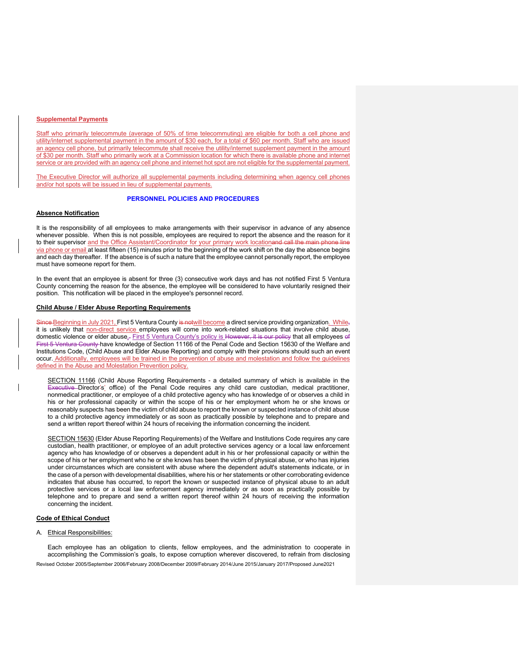# **Supplemental Payments**

Staff who primarily telecommute (average of 50% of time telecommuting) are eligible for both a cell phone and utility/internet supplemental payment in the amount of \$30 each, for a total of \$60 per month. Staff who are issued an agency cell phone, but primarily telecommute shall receive the utility/internet supplement payment in the amount of \$30 per month. Staff who primarily work at a Commission location for which there is available phone and internet service or are provided with an agency cell phone and internet hot spot are not eligible for the supplemental payment.

The Executive Director will authorize all supplemental payments including determining when agency cell phones and/or hot spots will be issued in lieu of supplemental payments.

# **PERSONNEL POLICIES AND PROCEDURES**

# **Absence Notification**

It is the responsibility of all employees to make arrangements with their supervisor in advance of any absence whenever possible. When this is not possible, employees are required to report the absence and the reason for it to their supervisor and the Office Assistant/Coordinator for your primary work locationand call the main phone line via phone or email at least fifteen (15) minutes prior to the beginning of the work shift on the day the absence begins and each day thereafter. If the absence is of such a nature that the employee cannot personally report, the employee must have someone report for them.

In the event that an employee is absent for three (3) consecutive work days and has not notified First 5 Ventura County concerning the reason for the absence, the employee will be considered to have voluntarily resigned their position. This notification will be placed in the employee's personnel record.

#### **Child Abuse / Elder Abuse Reporting Requirements**

Since Beginning in July 2021, First 5 Ventura County is notwill become a direct service providing organization. While, it is unlikely that non-direct service employees will come into work-related situations that involve child abuse, domestic violence or elder abuse,. First 5 Ventura County's policy is However, it is our policy that all employees of First 5 Ventura County have knowledge of Section 11166 of the Penal Code and Section 15630 of the Welfare and Institutions Code, (Child Abuse and Elder Abuse Reporting) and comply with their provisions should such an event occur. Additionally, employees will be trained in the prevention of abuse and molestation and follow the guidelines defined in the Abuse and Molestation Prevention policy.

SECTION 11166 (Child Abuse Reporting Requirements - a detailed summary of which is available in the Executive Director's' office) of the Penal Code requires any child care custodian, medical practitioner, nonmedical practitioner, or employee of a child protective agency who has knowledge of or observes a child in his or her professional capacity or within the scope of his or her employment whom he or she knows or reasonably suspects has been the victim of child abuse to report the known or suspected instance of child abuse to a child protective agency immediately or as soon as practically possible by telephone and to prepare and send a written report thereof within 24 hours of receiving the information concerning the incident.

SECTION 15630 (Elder Abuse Reporting Requirements) of the Welfare and Institutions Code requires any care custodian, health practitioner, or employee of an adult protective services agency or a local law enforcement agency who has knowledge of or observes a dependent adult in his or her professional capacity or within the scope of his or her employment who he or she knows has been the victim of physical abuse, or who has injuries under circumstances which are consistent with abuse where the dependent adult's statements indicate, or in the case of a person with developmental disabilities, where his or her statements or other corroborating evidence indicates that abuse has occurred, to report the known or suspected instance of physical abuse to an adult protective services or a local law enforcement agency immediately or as soon as practically possible by telephone and to prepare and send a written report thereof within 24 hours of receiving the information concerning the incident.

#### **Code of Ethical Conduct**

#### A. Ethical Responsibilities:

Revised October 2005/September 2006/February 2008/December 2009/February 2014/June 2015/January 2017/Proposed June2021 Each employee has an obligation to clients, fellow employees, and the administration to cooperate in accomplishing the Commission's goals, to expose corruption wherever discovered, to refrain from disclosing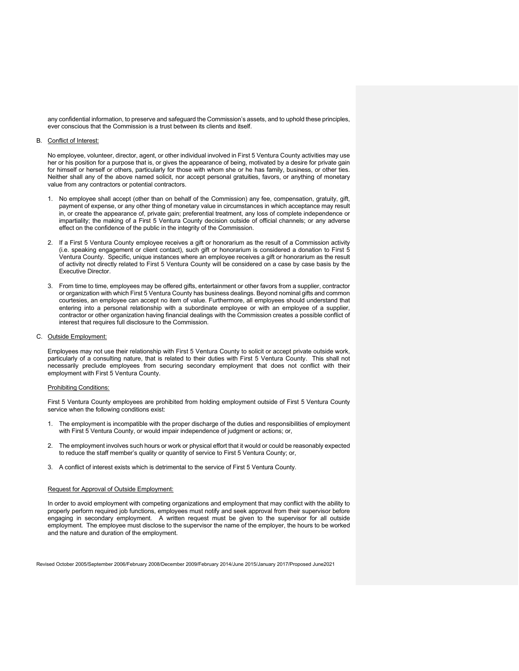any confidential information, to preserve and safeguard the Commission's assets, and to uphold these principles, ever conscious that the Commission is a trust between its clients and itself.

#### B. Conflict of Interest:

No employee, volunteer, director, agent, or other individual involved in First 5 Ventura County activities may use her or his position for a purpose that is, or gives the appearance of being, motivated by a desire for private gain for himself or herself or others, particularly for those with whom she or he has family, business, or other ties. Neither shall any of the above named solicit, nor accept personal gratuities, favors, or anything of monetary value from any contractors or potential contractors.

- 1. No employee shall accept (other than on behalf of the Commission) any fee, compensation, gratuity, gift, payment of expense, or any other thing of monetary value in circumstances in which acceptance may result in, or create the appearance of, private gain; preferential treatment, any loss of complete independence or impartiality; the making of a First 5 Ventura County decision outside of official channels; or any adverse effect on the confidence of the public in the integrity of the Commission.
- 2. If a First 5 Ventura County employee receives a gift or honorarium as the result of a Commission activity (i.e. speaking engagement or client contact), such gift or honorarium is considered a donation to First 5 Ventura County. Specific, unique instances where an employee receives a gift or honorarium as the result of activity not directly related to First 5 Ventura County will be considered on a case by case basis by the Executive Director.
- 3. From time to time, employees may be offered gifts, entertainment or other favors from a supplier, contractor or organization with which First 5 Ventura County has business dealings. Beyond nominal gifts and common courtesies, an employee can accept no item of value. Furthermore, all employees should understand that entering into a personal relationship with a subordinate employee or with an employee of a supplier, contractor or other organization having financial dealings with the Commission creates a possible conflict of interest that requires full disclosure to the Commission.

# C. Outside Employment:

Employees may not use their relationship with First 5 Ventura County to solicit or accept private outside work, particularly of a consulting nature, that is related to their duties with First 5 Ventura County. This shall not necessarily preclude employees from securing secondary employment that does not conflict with their employment with First 5 Ventura County.

# Prohibiting Conditions:

First 5 Ventura County employees are prohibited from holding employment outside of First 5 Ventura County service when the following conditions exist:

- 1. The employment is incompatible with the proper discharge of the duties and responsibilities of employment with First 5 Ventura County, or would impair independence of judgment or actions; or,
- 2. The employment involves such hours or work or physical effort that it would or could be reasonably expected to reduce the staff member's quality or quantity of service to First 5 Ventura County; or,
- 3. A conflict of interest exists which is detrimental to the service of First 5 Ventura County.

#### Request for Approval of Outside Employment:

In order to avoid employment with competing organizations and employment that may conflict with the ability to properly perform required job functions, employees must notify and seek approval from their supervisor before engaging in secondary employment. A written request must be given to the supervisor for all outside employment. The employee must disclose to the supervisor the name of the employer, the hours to be worked and the nature and duration of the employment.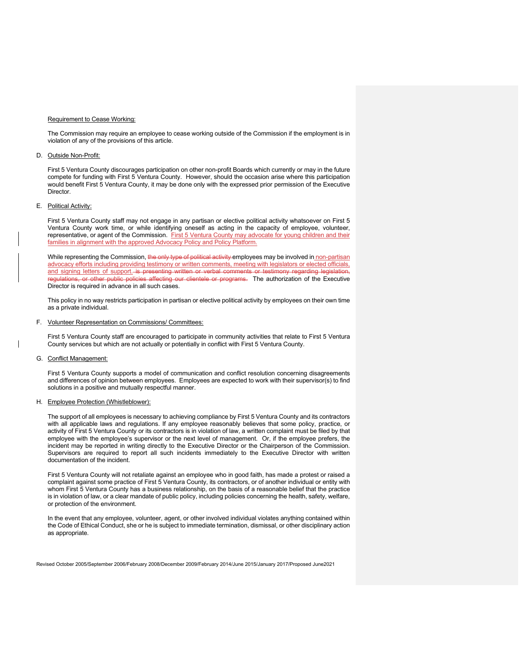# Requirement to Cease Working:

The Commission may require an employee to cease working outside of the Commission if the employment is in violation of any of the provisions of this article.

#### D. Outside Non-Profit:

First 5 Ventura County discourages participation on other non-profit Boards which currently or may in the future compete for funding with First 5 Ventura County. However, should the occasion arise where this participation would benefit First 5 Ventura County, it may be done only with the expressed prior permission of the Executive Director.

#### E. Political Activity:

First 5 Ventura County staff may not engage in any partisan or elective political activity whatsoever on First 5 Ventura County work time, or while identifying oneself as acting in the capacity of employee, volunteer, representative, or agent of the Commission. First 5 Ventura County may advocate for young children and their families in alignment with the approved Advocacy Policy and Policy Platform.

While representing the Commission, the only type of political activity employees may be involved in non-partisan advocacy efforts including providing testimony or written comments, meeting with legislators or elected officials, and signing letters of support. is presenting written or verbal comments or testimony regarding legislation, regulations, or other public policies affecting our clientele or programs. The authorization of the Executive Director is required in advance in all such cases.

This policy in no way restricts participation in partisan or elective political activity by employees on their own time as a private individual.

# F. Volunteer Representation on Commissions/ Committees:

First 5 Ventura County staff are encouraged to participate in community activities that relate to First 5 Ventura County services but which are not actually or potentially in conflict with First 5 Ventura County.

#### G. Conflict Management:

First 5 Ventura County supports a model of communication and conflict resolution concerning disagreements and differences of opinion between employees. Employees are expected to work with their supervisor(s) to find solutions in a positive and mutually respectful manner.

#### H. Employee Protection (Whistleblower):

The support of all employees is necessary to achieving compliance by First 5 Ventura County and its contractors with all applicable laws and regulations. If any employee reasonably believes that some policy, practice, or activity of First 5 Ventura County or its contractors is in violation of law, a written complaint must be filed by that employee with the employee's supervisor or the next level of management. Or, if the employee prefers, the incident may be reported in writing directly to the Executive Director or the Chairperson of the Commission. Supervisors are required to report all such incidents immediately to the Executive Director with written documentation of the incident.

First 5 Ventura County will not retaliate against an employee who in good faith, has made a protest or raised a complaint against some practice of First 5 Ventura County, its contractors, or of another individual or entity with whom First 5 Ventura County has a business relationship, on the basis of a reasonable belief that the practice is in violation of law, or a clear mandate of public policy, including policies concerning the health, safety, welfare, or protection of the environment.

In the event that any employee, volunteer, agent, or other involved individual violates anything contained within the Code of Ethical Conduct, she or he is subject to immediate termination, dismissal, or other disciplinary action as appropriate.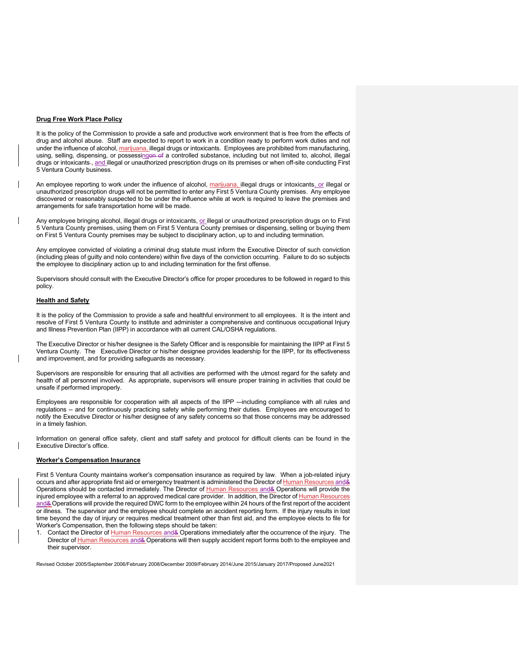# **Drug Free Work Place Policy**

It is the policy of the Commission to provide a safe and productive work environment that is free from the effects of drug and alcohol abuse. Staff are expected to report to work in a condition ready to perform work duties and not under the influence of alcohol, marijuana, illegal drugs or intoxicants. Employees are prohibited from manufacturing, using, selling, dispensing, or possessingen of a controlled substance, including but not limited to, alcohol, illegal drugs or intoxicants-, and illegal or unauthorized prescription drugs on its premises or when off-site conducting First 5 Ventura County business.

An employee reporting to work under the influence of alcohol, marijuana, illegal drugs or intoxicants, or illegal or unauthorized prescription drugs will not be permitted to enter any First 5 Ventura County premises. Any employee discovered or reasonably suspected to be under the influence while at work is required to leave the premises and arrangements for safe transportation home will be made.

Any employee bringing alcohol, illegal drugs or intoxicants, or illegal or unauthorized prescription drugs on to First 5 Ventura County premises, using them on First 5 Ventura County premises or dispensing, selling or buying them on First 5 Ventura County premises may be subject to disciplinary action, up to and including termination.

Any employee convicted of violating a criminal drug statute must inform the Executive Director of such conviction (including pleas of guilty and nolo contendere) within five days of the conviction occurring. Failure to do so subjects the employee to disciplinary action up to and including termination for the first offense.

Supervisors should consult with the Executive Director's office for proper procedures to be followed in regard to this policy.

#### **Health and Safety**

It is the policy of the Commission to provide a safe and healthful environment to all employees. It is the intent and resolve of First 5 Ventura County to institute and administer a comprehensive and continuous occupational Injury and Illness Prevention Plan (IIPP) in accordance with all current CAL/OSHA regulations.

The Executive Director or his/her designee is the Safety Officer and is responsible for maintaining the IIPP at First 5 Ventura County. The Executive Director or his/her designee provides leadership for the IIPP, for its effectiveness and improvement, and for providing safeguards as necessary.

Supervisors are responsible for ensuring that all activities are performed with the utmost regard for the safety and health of all personnel involved. As appropriate, supervisors will ensure proper training in activities that could be unsafe if performed improperly.

Employees are responsible for cooperation with all aspects of the IIPP -–including compliance with all rules and regulations -- and for continuously practicing safety while performing their duties. Employees are encouraged to notify the Executive Director or his/her designee of any safety concerns so that those concerns may be addressed in a timely fashion.

Information on general office safety, client and staff safety and protocol for difficult clients can be found in the Executive Director's office.

# **Worker's Compensation Insurance**

First 5 Ventura County maintains worker's compensation insurance as required by law. When a job-related injury occurs and after appropriate first aid or emergency treatment is administered the Director of Human Resources and & Operations should be contacted immediately. The Director of Human Resources and& Operations will provide the injured employee with a referral to an approved medical care provider. In addition, the Director of Human Resources and& Operations will provide the required DWC form to the employee within 24 hours of the first report of the accident or illness. The supervisor and the employee should complete an accident reporting form. If the injury results in lost time beyond the day of injury or requires medical treatment other than first aid, and the employee elects to file for Worker's Compensation, then the following steps should be taken:

1. Contact the Director of Human Resources and& Operations immediately after the occurrence of the injury. The Director of Human Resources and& Operations will then supply accident report forms both to the employee and their supervisor.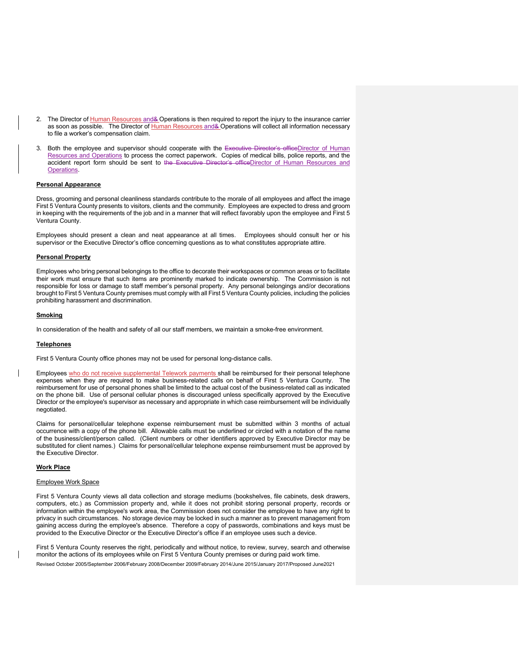- 2. The Director of Human Resources and& Operations is then required to report the injury to the insurance carrier as soon as possible. The Director of Human Resources and& Operations will collect all information necessary to file a worker's compensation claim.
- 3. Both the employee and supervisor should cooperate with the Executive Director's officeDirector of Human Resources and Operations to process the correct paperwork. Copies of medical bills, police reports, and the accident report form should be sent to the Executive Director's officeDirector of Human Resources and Operations.

#### **Personal Appearance**

Dress, grooming and personal cleanliness standards contribute to the morale of all employees and affect the image First 5 Ventura County presents to visitors, clients and the community. Employees are expected to dress and groom in keeping with the requirements of the job and in a manner that will reflect favorably upon the employee and First 5 Ventura County.

Employees should present a clean and neat appearance at all times. Employees should consult her or his supervisor or the Executive Director's office concerning questions as to what constitutes appropriate attire.

# **Personal Property**

Employees who bring personal belongings to the office to decorate their workspaces or common areas or to facilitate their work must ensure that such items are prominently marked to indicate ownership. The Commission is not responsible for loss or damage to staff member's personal property. Any personal belongings and/or decorations brought to First 5 Ventura County premises must comply with all First 5 Ventura County policies, including the policies prohibiting harassment and discrimination.

#### **Smoking**

In consideration of the health and safety of all our staff members, we maintain a smoke-free environment.

#### **Telephones**

First 5 Ventura County office phones may not be used for personal long-distance calls.

Employees who do not receive supplemental Telework payments shall be reimbursed for their personal telephone expenses when they are required to make business-related calls on behalf of First 5 Ventura County. The reimbursement for use of personal phones shall be limited to the actual cost of the business-related call as indicated on the phone bill. Use of personal cellular phones is discouraged unless specifically approved by the Executive Director or the employee's supervisor as necessary and appropriate in which case reimbursement will be individually negotiated.

Claims for personal/cellular telephone expense reimbursement must be submitted within 3 months of actual occurrence with a copy of the phone bill. Allowable calls must be underlined or circled with a notation of the name of the business/client/person called. (Client numbers or other identifiers approved by Executive Director may be substituted for client names.) Claims for personal/cellular telephone expense reimbursement must be approved by the Executive Director.

# **Work Place**

#### Employee Work Space

First 5 Ventura County views all data collection and storage mediums (bookshelves, file cabinets, desk drawers, computers, etc.) as Commission property and, while it does not prohibit storing personal property, records or information within the employee's work area, the Commission does not consider the employee to have any right to privacy in such circumstances. No storage device may be locked in such a manner as to prevent management from gaining access during the employee's absence. Therefore a copy of passwords, combinations and keys must be provided to the Executive Director or the Executive Director's office if an employee uses such a device.

First 5 Ventura County reserves the right, periodically and without notice, to review, survey, search and otherwise monitor the actions of its employees while on First 5 Ventura County premises or during paid work time.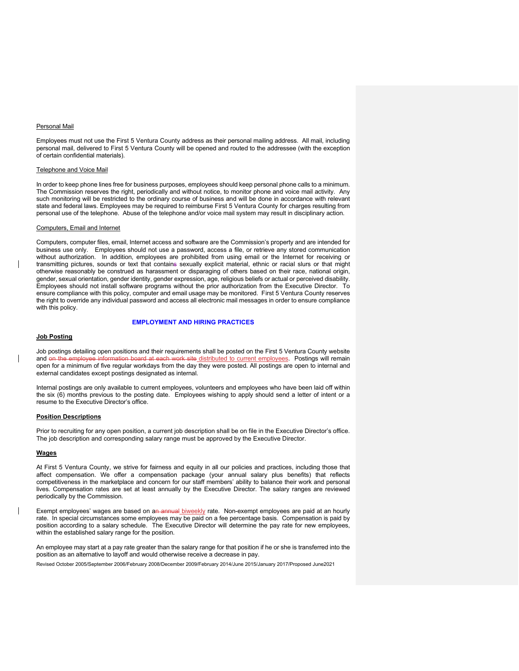#### Personal Mail

Employees must not use the First 5 Ventura County address as their personal mailing address. All mail, including personal mail, delivered to First 5 Ventura County will be opened and routed to the addressee (with the exception of certain confidential materials).

#### Telephone and Voice Mail

In order to keep phone lines free for business purposes, employees should keep personal phone calls to a minimum. The Commission reserves the right, periodically and without notice, to monitor phone and voice mail activity. Any such monitoring will be restricted to the ordinary course of business and will be done in accordance with relevant state and federal laws. Employees may be required to reimburse First 5 Ventura County for charges resulting from personal use of the telephone. Abuse of the telephone and/or voice mail system may result in disciplinary action.

#### Computers, Email and Internet

Computers, computer files, email, Internet access and software are the Commission's property and are intended for business use only. Employees should not use a password, access a file, or retrieve any stored communication without authorization. In addition, employees are prohibited from using email or the Internet for receiving or transmitting pictures, sounds or text that contains sexually explicit material, ethnic or racial slurs or that might otherwise reasonably be construed as harassment or disparaging of others based on their race, national origin, gender, sexual orientation, gender identity, gender expression, age, religious beliefs or actual or perceived disability. Employees should not install software programs without the prior authorization from the Executive Director. To ensure compliance with this policy, computer and email usage may be monitored. First 5 Ventura County reserves the right to override any individual password and access all electronic mail messages in order to ensure compliance with this policy.

#### **EMPLOYMENT AND HIRING PRACTICES**

# **Job Posting**

Job postings detailing open positions and their requirements shall be posted on the First 5 Ventura County website and on the employee information board at each work site distributed to current employees. Postings will remain open for a minimum of five regular workdays from the day they were posted. All postings are open to internal and external candidates except postings designated as internal.

Internal postings are only available to current employees, volunteers and employees who have been laid off within the six (6) months previous to the posting date. Employees wishing to apply should send a letter of intent or a resume to the Executive Director's office.

#### **Position Descriptions**

Prior to recruiting for any open position, a current job description shall be on file in the Executive Director's office. The job description and corresponding salary range must be approved by the Executive Director.

#### **Wages**

At First 5 Ventura County, we strive for fairness and equity in all our policies and practices, including those that affect compensation. We offer a compensation package (your annual salary plus benefits) that reflects competitiveness in the marketplace and concern for our staff members' ability to balance their work and personal lives. Compensation rates are set at least annually by the Executive Director. The salary ranges are reviewed periodically by the Commission.

Exempt employees' wages are based on an annual biweekly rate. Non-exempt employees are paid at an hourly rate. In special circumstances some employees may be paid on a fee percentage basis. Compensation is paid by position according to a salary schedule. The Executive Director will determine the pay rate for new employees, within the established salary range for the position.

An employee may start at a pay rate greater than the salary range for that position if he or she is transferred into the position as an alternative to layoff and would otherwise receive a decrease in pay.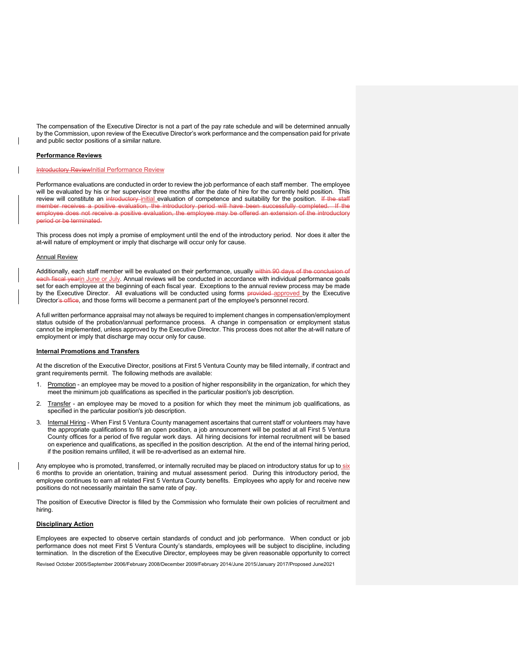The compensation of the Executive Director is not a part of the pay rate schedule and will be determined annually by the Commission, upon review of the Executive Director's work performance and the compensation paid for private and public sector positions of a similar nature.

#### **Performance Reviews**

#### **Introductory ReviewInitial Performance Review**

Performance evaluations are conducted in order to review the job performance of each staff member. The employee will be evaluated by his or her supervisor three months after the date of hire for the currently held position. This review will constitute an introductory-initial evaluation of competence and suitability for the position. If the staff member receives a positive evaluation, the introductory period will have been successfully completed. If the employee does not receive a positive evaluation, the employee may be offered an extension of the introductory period or be terminated.

This process does not imply a promise of employment until the end of the introductory period. Nor does it alter the at-will nature of employment or imply that discharge will occur only for cause.

#### **Annual Review**

Additionally, each staff member will be evaluated on their performance, usually within 90 days of the conclusion of earin June or July. Annual reviews will be conducted in accordance with individual performance goals set for each employee at the beginning of each fiscal year. Exceptions to the annual review process may be made by the Executive Director. All evaluations will be conducted using forms provided approved by the Executive Director's office, and those forms will become a permanent part of the employee's personnel record.

A full written performance appraisal may not always be required to implement changes in compensation/employment status outside of the probation/annual performance process. A change in compensation or employment status cannot be implemented, unless approved by the Executive Director. This process does not alter the at-will nature of employment or imply that discharge may occur only for cause.

#### **Internal Promotions and Transfers**

At the discretion of the Executive Director, positions at First 5 Ventura County may be filled internally, if contract and grant requirements permit. The following methods are available:

- 1. Promotion an employee may be moved to a position of higher responsibility in the organization, for which they meet the minimum job qualifications as specified in the particular position's job description.
- 2. Transfer an employee may be moved to a position for which they meet the minimum job qualifications, as specified in the particular position's job description.
- 3. Internal Hiring When First 5 Ventura County management ascertains that current staff or volunteers may have the appropriate qualifications to fill an open position, a job announcement will be posted at all First 5 Ventura County offices for a period of five regular work days. All hiring decisions for internal recruitment will be based on experience and qualifications, as specified in the position description. At the end of the internal hiring period, if the position remains unfilled, it will be re-advertised as an external hire.
- Any employee who is promoted, transferred, or internally recruited may be placed on introductory status for up to six 6 months to provide an orientation, training and mutual assessment period. During this introductory period, the employee continues to earn all related First 5 Ventura County benefits. Employees who apply for and receive new positions do not necessarily maintain the same rate of pay.

The position of Executive Director is filled by the Commission who formulate their own policies of recruitment and hiring.

# **Disciplinary Action**

Employees are expected to observe certain standards of conduct and job performance. When conduct or job performance does not meet First 5 Ventura County's standards, employees will be subject to discipline, including termination. In the discretion of the Executive Director, employees may be given reasonable opportunity to correct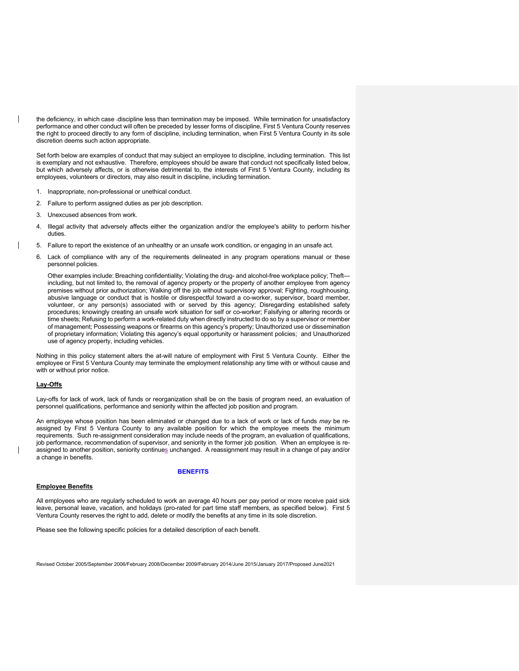the deficiency, in which case discipline less than termination may be imposed. While termination for unsatisfactory performance and other conduct will often be preceded by lesser forms of discipline, First 5 Ventura County reserves the right to proceed directly to any form of discipline, including termination, when First 5 Ventura County in its sole discretion deems such action appropriate.

Set forth below are examples of conduct that may subject an employee to discipline, including termination. This list is exemplary and not exhaustive. Therefore, employees should be aware that conduct not specifically listed below, but which adversely affects, or is otherwise detrimental to, the interests of First 5 Ventura County, including its employees, volunteers or directors, may also result in discipline, including termination.

- 1. Inappropriate, non-professional or unethical conduct.
- 2. Failure to perform assigned duties as per job description.
- 3. Unexcused absences from work.
- 4. Illegal activity that adversely affects either the organization and/or the employee's ability to perform his/her duties.
- 5. Failure to report the existence of an unhealthy or an unsafe work condition, or engaging in an unsafe act.
- 6. Lack of compliance with any of the requirements delineated in any program operations manual or these personnel policies.

Other examples include: Breaching confidentiality; Violating the drug- and alcohol-free workplace policy; Theft including, but not limited to, the removal of agency property or the property of another employee from agency premises without prior authorization; Walking off the job without supervisory approval; Fighting, roughhousing, abusive language or conduct that is hostile or disrespectful toward a co-worker, supervisor, board member, volunteer, or any person(s) associated with or served by this agency; Disregarding established safety procedures; knowingly creating an unsafe work situation for self or co-worker; Falsifying or altering records or time sheets; Refusing to perform a work-related duty when directly instructed to do so by a supervisor or member of management; Possessing weapons or firearms on this agency's property; Unauthorized use or dissemination of proprietary information; Violating this agency's equal opportunity or harassment policies; and Unauthorized use of agency property, including vehicles.

Nothing in this policy statement alters the at-will nature of employment with First 5 Ventura County. Either the employee or First 5 Ventura County may terminate the employment relationship any time with or without cause and with or without prior notice.

# **Lay-Offs**

Lay-offs for lack of work, lack of funds or reorganization shall be on the basis of program need, an evaluation of personnel qualifications, performance and seniority within the affected job position and program.

An employee whose position has been eliminated or changed due to a lack of work or lack of funds *may* be reassigned by First 5 Ventura County to any available position for which the employee meets the minimum requirements. Such re-assignment consideration may include needs of the program, an evaluation of qualifications, job performance, recommendation of supervisor, and seniority in the former job position. When an employee is reassigned to another position, seniority continues unchanged. A reassignment may result in a change of pay and/or a change in benefits.

# **BENEFITS**

# **Employee Benefits**

All employees who are regularly scheduled to work an average 40 hours per pay period or more receive paid sick leave, personal leave, vacation, and holidays (pro-rated for part time staff members, as specified below). First 5 Ventura County reserves the right to add, delete or modify the benefits at any time in its sole discretion.

Please see the following specific policies for a detailed description of each benefit.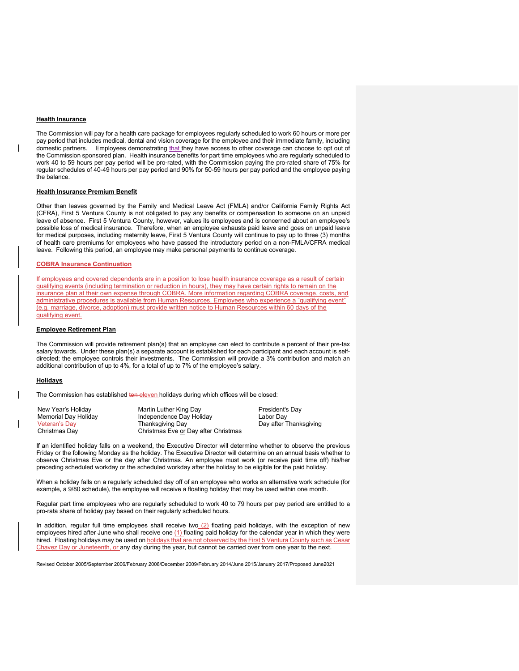#### **Health Insurance**

The Commission will pay for a health care package for employees regularly scheduled to work 60 hours or more per pay period that includes medical, dental and vision coverage for the employee and their immediate family, including domestic partners. Employees demonstrating that they have access to other coverage can choose to opt out of the Commission sponsored plan. Health insurance benefits for part time employees who are regularly scheduled to work 40 to 59 hours per pay period will be pro-rated, with the Commission paying the pro-rated share of 75% for regular schedules of 40-49 hours per pay period and 90% for 50-59 hours per pay period and the employee paying the balance.

# **Health Insurance Premium Benefit**

Other than leaves governed by the Family and Medical Leave Act (FMLA) and/or California Family Rights Act (CFRA), First 5 Ventura County is not obligated to pay any benefits or compensation to someone on an unpaid leave of absence. First 5 Ventura County, however, values its employees and is concerned about an employee's possible loss of medical insurance. Therefore, when an employee exhausts paid leave and goes on unpaid leave for medical purposes, including maternity leave, First 5 Ventura County will continue to pay up to three (3) months of health care premiums for employees who have passed the introductory period on a non-FMLA/CFRA medical leave. Following this period, an employee may make personal payments to continue coverage.

# **COBRA Insurance Continuation**

If employees and covered dependents are in a position to lose health insurance coverage as a result of certain qualifying events (including termination or reduction in hours), they may have certain rights to remain on the insurance plan at their own expense through COBRA. More information regarding COBRA coverage, costs, and administrative procedures is available from Human Resources. Employees who experience a "qualifying event" (e.g. marriage, divorce, adoption) must provide written notice to Human Resources within 60 days of the qualifying event.

# **Employee Retirement Plan**

The Commission will provide retirement plan(s) that an employee can elect to contribute a percent of their pre-tax salary towards. Under these plan(s) a separate account is established for each participant and each account is selfdirected; the employee controls their investments. The Commission will provide a 3% contribution and match an additional contribution of up to 4%, for a total of up to 7% of the employee's salary.

# **Holidays**

The Commission has established ten eleven holidays during which offices will be closed:

New Year's Holiday **Martin Luther King Day** President's Day Memorial Day Holiday **President's Day** President's Day Independence Day Holiday Veteran's Day **Thanksgiving Day Communist Communist Communist Communist Communist Communist Communist Communist Communist Communist Communist Communist Communist Communist Communist Communist Communist Communist Communist** Christmas Day Christmas Eve or Day after Christmas

If an identified holiday falls on a weekend, the Executive Director will determine whether to observe the previous Friday or the following Monday as the holiday. The Executive Director will determine on an annual basis whether to observe Christmas Eve or the day after Christmas. An employee must work (or receive paid time off) his/her preceding scheduled workday or the scheduled workday after the holiday to be eligible for the paid holiday.

When a holiday falls on a regularly scheduled day off of an employee who works an alternative work schedule (for example, a 9/80 schedule), the employee will receive a floating holiday that may be used within one month.

Regular part time employees who are regularly scheduled to work 40 to 79 hours per pay period are entitled to a pro-rata share of holiday pay based on their regularly scheduled hours.

In addition, regular full time employees shall receive two  $(2)$  floating paid holidays, with the exception of new employees hired after June who shall receive one (1) floating paid holiday for the calendar year in which they were hired. Floating holidays may be used on holidays that are not observed by the First 5 Ventura County such as Cesar Chavez Day or Juneteenth, or any day during the year, but cannot be carried over from one year to the next.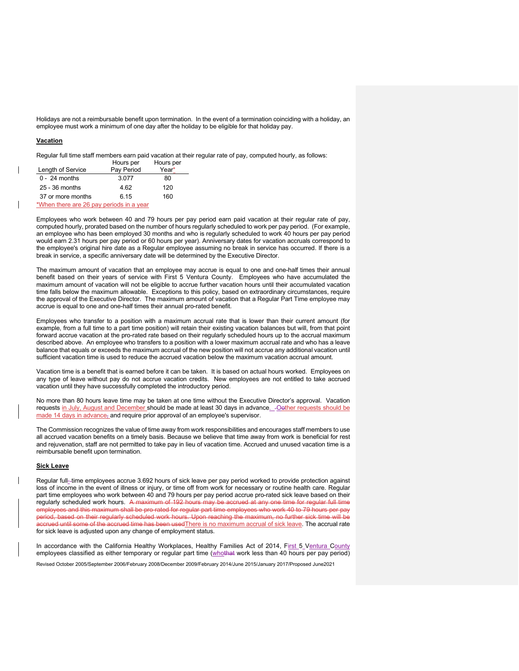Holidays are not a reimbursable benefit upon termination. In the event of a termination coinciding with a holiday, an employee must work a minimum of one day after the holiday to be eligible for that holiday pay.

#### **Vacation**

Regular full time staff members earn paid vacation at their regular rate of pay, computed hourly, as follows:

|                                          | Hours per  | Hours per |
|------------------------------------------|------------|-----------|
| Length of Service                        | Pay Period | Year*     |
| $0 - 24$ months                          | 3.077      | 80        |
| 25 - 36 months                           | 4.62       | 120       |
| 37 or more months                        | 6.15       | 160       |
| *When there are 26 pay periods in a year |            |           |

Employees who work between 40 and 79 hours per pay period earn paid vacation at their regular rate of pay, computed hourly, prorated based on the number of hours regularly scheduled to work per pay period. (For example, an employee who has been employed 30 months and who is regularly scheduled to work 40 hours per pay period would earn 2.31 hours per pay period or 60 hours per year). Anniversary dates for vacation accruals correspond to the employee's original hire date as a Regular employee assuming no break in service has occurred. If there is a break in service, a specific anniversary date will be determined by the Executive Director.

The maximum amount of vacation that an employee may accrue is equal to one and one-half times their annual benefit based on their years of service with First 5 Ventura County. Employees who have accumulated the maximum amount of vacation will not be eligible to accrue further vacation hours until their accumulated vacation time falls below the maximum allowable. Exceptions to this policy, based on extraordinary circumstances, require the approval of the Executive Director. The maximum amount of vacation that a Regular Part Time employee may accrue is equal to one and one-half times their annual pro-rated benefit.

Employees who transfer to a position with a maximum accrual rate that is lower than their current amount (for example, from a full time to a part time position) will retain their existing vacation balances but will, from that point forward accrue vacation at the pro-rated rate based on their regularly scheduled hours up to the accrual maximum described above. An employee who transfers to a position with a lower maximum accrual rate and who has a leave balance that equals or exceeds the maximum accrual of the new position will not accrue any additional vacation until sufficient vacation time is used to reduce the accrued vacation below the maximum vacation accrual amount.

Vacation time is a benefit that is earned before it can be taken. It is based on actual hours worked. Employees on any type of leave without pay do not accrue vacation credits. New employees are not entitled to take accrued vacation until they have successfully completed the introductory period.

No more than 80 hours leave time may be taken at one time without the Executive Director's approval. Vacation requests in July, August and December should be made at least 30 days in advance...- Oother requests should be made 14 days in advance, and require prior approval of an employee's supervisor.

The Commission recognizes the value of time away from work responsibilities and encourages staff members to use all accrued vacation benefits on a timely basis. Because we believe that time away from work is beneficial for rest and rejuvenation, staff are not permitted to take pay in lieu of vacation time. Accrued and unused vacation time is a reimbursable benefit upon termination.

#### **Sick Leave**

Regular full-time employees accrue 3.692 hours of sick leave per pay period worked to provide protection against loss of income in the event of illness or injury, or time off from work for necessary or routine health care. Regular part time employees who work between 40 and 79 hours per pay period accrue pro-rated sick leave based on their regularly scheduled work hours. A maximum of 192 hours may be accrued at any one time for regular full time employees and this maximum shall be pro-rated for regular part time employees who work 40 to 79 hours per pay period, based on their regularly scheduled work hours. Upon reaching the maximum, no further sick time will be accrued until some of the accrued time has been usedThere is no maximum accrual of sick leave. The accrual rate for sick leave is adjusted upon any change of employment status.

Revised October 2005/September 2006/February 2008/December 2009/February 2014/June 2015/January 2017/Proposed June2021 In accordance with the California Healthy Workplaces, Healthy Families Act of 2014, First 5 Ventura County employees classified as either temporary or regular part time (whothat work less than 40 hours per pay period)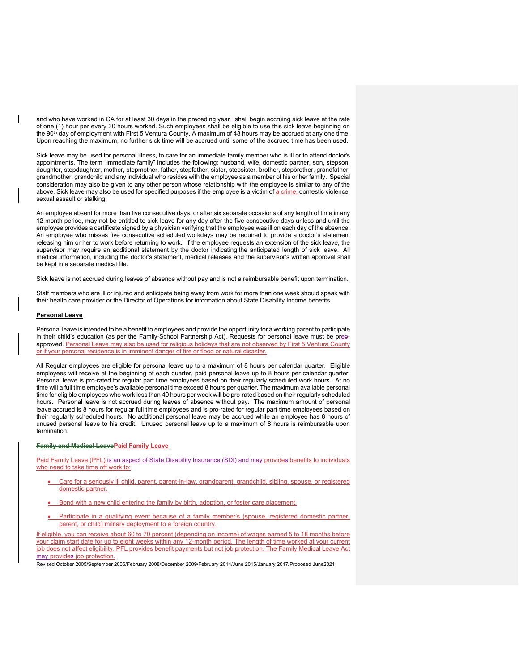and who have worked in CA for at least 30 days in the preceding year -shall begin accruing sick leave at the rate of one (1) hour per every 30 hours worked. Such employees shall be eligible to use this sick leave beginning on the 90th day of employment with First 5 Ventura County. A maximum of 48 hours may be accrued at any one time. Upon reaching the maximum, no further sick time will be accrued until some of the accrued time has been used.

Sick leave may be used for personal illness, to care for an immediate family member who is ill or to attend doctor's appointments. The term "immediate family" includes the following: husband, wife, domestic partner, son, stepson, daughter, stepdaughter, mother, stepmother, father, stepfather, sister, stepsister, brother, stepbrother, grandfather, grandmother, grandchild and any individual who resides with the employee as a member of his or her family. Special consideration may also be given to any other person whose relationship with the employee is similar to any of the above. Sick leave may also be used for specified purposes if the employee is a victim of a crime, domestic violence, sexual assault or stalking-

An employee absent for more than five consecutive days, or after six separate occasions of any length of time in any 12 month period, may not be entitled to sick leave for any day after the five consecutive days unless and until the employee provides a certificate signed by a physician verifying that the employee was ill on each day of the absence. An employee who misses five consecutive scheduled workdays may be required to provide a doctor's statement releasing him or her to work before returning to work. If the employee requests an extension of the sick leave, the supervisor may require an additional statement by the doctor indicating the anticipated length of sick leave. All medical information, including the doctor's statement, medical releases and the supervisor's written approval shall be kept in a separate medical file.

Sick leave is not accrued during leaves of absence without pay and is not a reimbursable benefit upon termination.

Staff members who are ill or injured and anticipate being away from work for more than one week should speak with their health care provider or the Director of Operations for information about State Disability Income benefits.

#### **Personal Leave**

Personal leave is intended to be a benefit to employees and provide the opportunity for a working parent to participate in their child's education (as per the Family-School Partnership Act). Requests for personal leave must be preoapproved. Personal Leave may also be used for religious holidays that are not observed by First 5 Ventura County or if your personal residence is in imminent danger of fire or flood or natural disaster.

All Regular employees are eligible for personal leave up to a maximum of 8 hours per calendar quarter. Eligible employees will receive at the beginning of each quarter, paid personal leave up to 8 hours per calendar quarter. Personal leave is pro-rated for regular part time employees based on their regularly scheduled work hours. At no time will a full time employee's available personal time exceed 8 hours per quarter. The maximum available personal time for eligible employees who work less than 40 hours per week will be pro-rated based on their regularly scheduled hours. Personal leave is not accrued during leaves of absence without pay. The maximum amount of personal leave accrued is 8 hours for regular full time employees and is pro-rated for regular part time employees based on their regularly scheduled hours. No additional personal leave may be accrued while an employee has 8 hours of unused personal leave to his credit. Unused personal leave up to a maximum of 8 hours is reimbursable upon termination.

# **Family and Medical LeavePaid Family Leave**

Paid Family Leave (PFL) is an aspect of State Disability Insurance (SDI) and may provides benefits to individuals who need to take time off work to:

- Care for a seriously ill child, parent, parent-in-law, grandparent, grandchild, sibling, spouse, or registered domestic partner.
- Bond with a new child entering the family by birth, adoption, or foster care placement.
- Participate in a qualifying event because of a family member's (spouse, registered domestic partner, parent, or child) military deployment to a foreign country.

If eligible, you can receive about 60 to 70 percent (depending on income) of wages earned 5 to 18 months before your claim start date for up to eight weeks within any 12-month period. The length of time worked at your current job does not affect eligibility. PFL provides benefit payments but not job protection. The Family Medical Leave Act may provides job protection.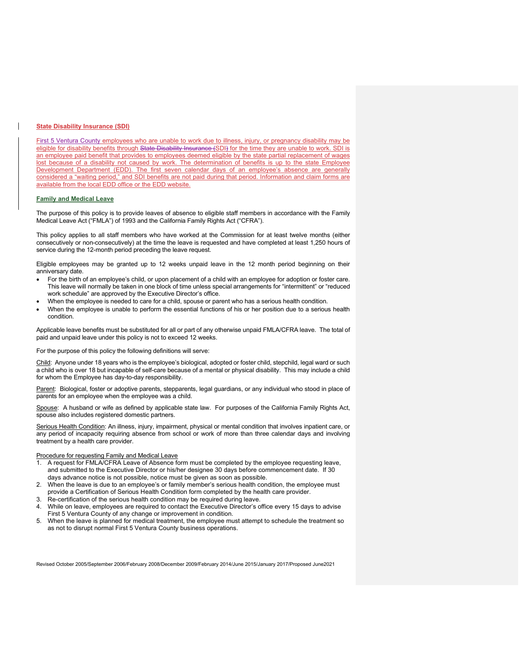# **State Disability Insurance (SDI)**

First 5 Ventura County employees who are unable to work due to illness, injury, or pregnancy disability may be eligible for disability benefits through State Disability Insurance (SDI) for the time they are unable to work. SDI is an employee paid benefit that provides to employees deemed eligible by the state partial replacement of wages lost because of a disability not caused by work. The determination of benefits is up to the state Employee Development Department (EDD). The first seven calendar days of an employee's absence are generally considered a "waiting period," and SDI benefits are not paid during that period. Information and claim forms are available from the local EDD office or the EDD website.

#### **Family and Medical Leave**

The purpose of this policy is to provide leaves of absence to eligible staff members in accordance with the Family Medical Leave Act ("FMLA") of 1993 and the California Family Rights Act ("CFRA").

This policy applies to all staff members who have worked at the Commission for at least twelve months (either consecutively or non-consecutively) at the time the leave is requested and have completed at least 1,250 hours of service during the 12-month period preceding the leave request.

Eligible employees may be granted up to 12 weeks unpaid leave in the 12 month period beginning on their anniversary date.

- For the birth of an employee's child, or upon placement of a child with an employee for adoption or foster care. This leave will normally be taken in one block of time unless special arrangements for "intermittent" or "reduced work schedule" are approved by the Executive Director's office.
- When the employee is needed to care for a child, spouse or parent who has a serious health condition.
- When the employee is unable to perform the essential functions of his or her position due to a serious health condition.

Applicable leave benefits must be substituted for all or part of any otherwise unpaid FMLA/CFRA leave. The total of paid and unpaid leave under this policy is not to exceed 12 weeks.

For the purpose of this policy the following definitions will serve:

Child: Anyone under 18 years who is the employee's biological, adopted or foster child, stepchild, legal ward or such a child who is over 18 but incapable of self-care because of a mental or physical disability. This may include a child for whom the Employee has day-to-day responsibility.

Parent: Biological, foster or adoptive parents, stepparents, legal guardians, or any individual who stood in place of parents for an employee when the employee was a child.

Spouse: A husband or wife as defined by applicable state law. For purposes of the California Family Rights Act, spouse also includes registered domestic partners.

Serious Health Condition: An illness, injury, impairment, physical or mental condition that involves inpatient care, or any period of incapacity requiring absence from school or work of more than three calendar days and involving treatment by a health care provider.

# Procedure for requesting Family and Medical Leave

- 1. A request for FMLA/CFRA Leave of Absence form must be completed by the employee requesting leave, and submitted to the Executive Director or his/her designee 30 days before commencement date. If 30 days advance notice is not possible, notice must be given as soon as possible.
- 2. When the leave is due to an employee's or family member's serious health condition, the employee must provide a Certification of Serious Health Condition form completed by the health care provider.
- 3. Re-certification of the serious health condition may be required during leave.
- 4. While on leave, employees are required to contact the Executive Director's office every 15 days to advise First 5 Ventura County of any change or improvement in condition.
- 5. When the leave is planned for medical treatment, the employee must attempt to schedule the treatment so as not to disrupt normal First 5 Ventura County business operations.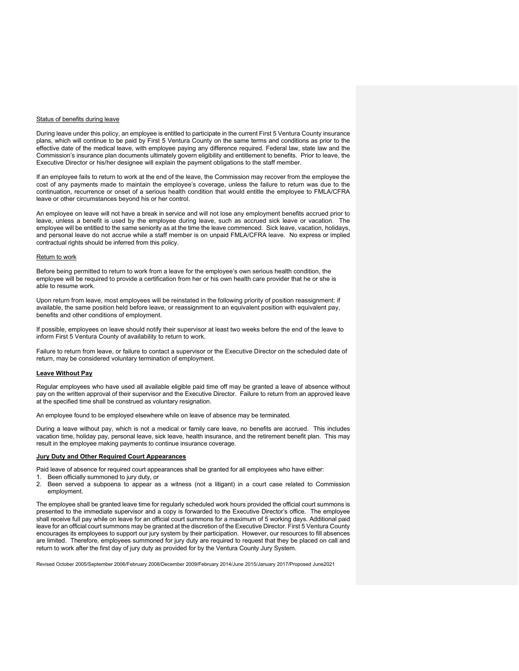# Status of benefits during leave

During leave under this policy, an employee is entitled to participate in the current First 5 Ventura County insurance plans, which will continue to be paid by First 5 Ventura County on the same terms and conditions as prior to the effective date of the medical leave, with employee paying any difference required. Federal law, state law and the Commission's insurance plan documents ultimately govern eligibility and entitlement to benefits. Prior to leave, the Executive Director or his/her designee will explain the payment obligations to the staff member.

If an employee fails to return to work at the end of the leave, the Commission may recover from the employee the cost of any payments made to maintain the employee's coverage, unless the failure to return was due to the continuation, recurrence or onset of a serious health condition that would entitle the employee to FMLA/CFRA leave or other circumstances beyond his or her control.

An employee on leave will not have a break in service and will not lose any employment benefits accrued prior to leave, unless a benefit is used by the employee during leave, such as accrued sick leave or vacation. The employee will be entitled to the same seniority as at the time the leave commenced. Sick leave, vacation, holidays, and personal leave do not accrue while a staff member is on unpaid FMLA/CFRA leave. No express or implied contractual rights should be inferred from this policy.

#### Return to work

Before being permitted to return to work from a leave for the employee's own serious health condition, the employee will be required to provide a certification from her or his own health care provider that he or she is able to resume work.

Upon return from leave, most employees will be reinstated in the following priority of position reassignment: if available, the same position held before leave, or reassignment to an equivalent position with equivalent pay, benefits and other conditions of employment.

If possible, employees on leave should notify their supervisor at least two weeks before the end of the leave to inform First 5 Ventura County of availability to return to work.

Failure to return from leave, or failure to contact a supervisor or the Executive Director on the scheduled date of return, may be considered voluntary termination of employment.

#### **Leave Without Pay**

Regular employees who have used all available eligible paid time off may be granted a leave of absence without pay on the written approval of their supervisor and the Executive Director. Failure to return from an approved leave at the specified time shall be construed as voluntary resignation.

An employee found to be employed elsewhere while on leave of absence may be terminated.

During a leave without pay, which is not a medical or family care leave, no benefits are accrued. This includes vacation time, holiday pay, personal leave, sick leave, health insurance, and the retirement benefit plan. This may result in the employee making payments to continue insurance coverage.

#### **Jury Duty and Other Required Court Appearances**

Paid leave of absence for required court appearances shall be granted for all employees who have either:

- 1. Been officially summoned to jury duty, or
- 2. Been served a subpoena to appear as a witness (not a litigant) in a court case related to Commission employment.

The employee shall be granted leave time for regularly scheduled work hours provided the official court summons is presented to the immediate supervisor and a copy is forwarded to the Executive Director's office. The employee shall receive full pay while on leave for an official court summons for a maximum of 5 working days. Additional paid leave for an official court summons may be granted at the discretion of the Executive Director. First 5 Ventura County encourages its employees to support our jury system by their participation. However, our resources to fill absences are limited. Therefore, employees summoned for jury duty are required to request that they be placed on call and return to work after the first day of jury duty as provided for by the Ventura County Jury System.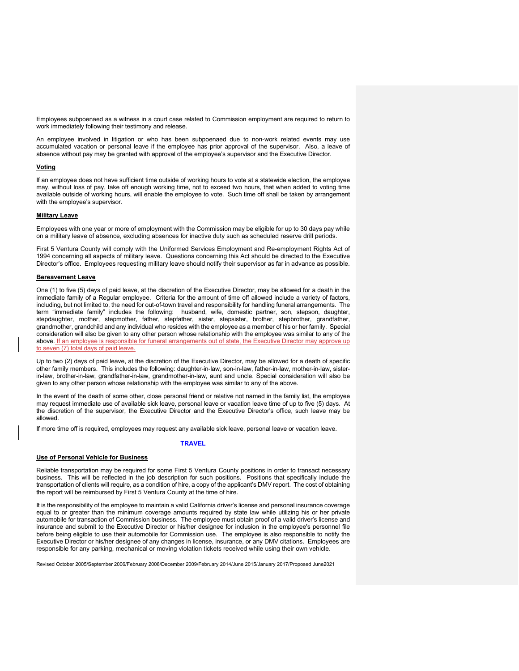Employees subpoenaed as a witness in a court case related to Commission employment are required to return to work immediately following their testimony and release.

An employee involved in litigation or who has been subpoenaed due to non-work related events may use accumulated vacation or personal leave if the employee has prior approval of the supervisor. Also, a leave of absence without pay may be granted with approval of the employee's supervisor and the Executive Director.

# **Voting**

If an employee does not have sufficient time outside of working hours to vote at a statewide election, the employee may, without loss of pay, take off enough working time, not to exceed two hours, that when added to voting time available outside of working hours, will enable the employee to vote. Such time off shall be taken by arrangement with the employee's supervisor.

#### **Military Leave**

Employees with one year or more of employment with the Commission may be eligible for up to 30 days pay while on a military leave of absence, excluding absences for inactive duty such as scheduled reserve drill periods.

First 5 Ventura County will comply with the Uniformed Services Employment and Re-employment Rights Act of 1994 concerning all aspects of military leave. Questions concerning this Act should be directed to the Executive Director's office. Employees requesting military leave should notify their supervisor as far in advance as possible.

#### **Bereavement Leave**

One (1) to five (5) days of paid leave, at the discretion of the Executive Director, may be allowed for a death in the immediate family of a Regular employee. Criteria for the amount of time off allowed include a variety of factors, including, but not limited to, the need for out-of-town travel and responsibility for handling funeral arrangements. The term "immediate family" includes the following: husband, wife, domestic partner, son, stepson, daughter, stepdaughter, mother, stepmother, father, stepfather, sister, stepsister, brother, stepbrother, grandfather, grandmother, grandchild and any individual who resides with the employee as a member of his or her family. Special consideration will also be given to any other person whose relationship with the employee was similar to any of the above. If an employee is responsible for funeral arrangements out of state, the Executive Director may approve up to seven (7) total days of paid leave.

Up to two (2) days of paid leave, at the discretion of the Executive Director, may be allowed for a death of specific other family members. This includes the following: daughter-in-law, son-in-law, father-in-law, mother-in-law, sisterin-law, brother-in-law, grandfather-in-law, grandmother-in-law, aunt and uncle. Special consideration will also be given to any other person whose relationship with the employee was similar to any of the above.

In the event of the death of some other, close personal friend or relative not named in the family list, the employee may request immediate use of available sick leave, personal leave or vacation leave time of up to five (5) days. At the discretion of the supervisor, the Executive Director and the Executive Director's office, such leave may be allowed.

If more time off is required, employees may request any available sick leave, personal leave or vacation leave.

#### **TRAVEL**

# **Use of Personal Vehicle for Business**

Reliable transportation may be required for some First 5 Ventura County positions in order to transact necessary business. This will be reflected in the job description for such positions. Positions that specifically include the transportation of clients will require, as a condition of hire, a copy of the applicant's DMV report. The cost of obtaining the report will be reimbursed by First 5 Ventura County at the time of hire.

It is the responsibility of the employee to maintain a valid California driver's license and personal insurance coverage equal to or greater than the minimum coverage amounts required by state law while utilizing his or her private automobile for transaction of Commission business. The employee must obtain proof of a valid driver's license and insurance and submit to the Executive Director or his/her designee for inclusion in the employee's personnel file before being eligible to use their automobile for Commission use. The employee is also responsible to notify the Executive Director or his/her designee of any changes in license, insurance, or any DMV citations. Employees are responsible for any parking, mechanical or moving violation tickets received while using their own vehicle.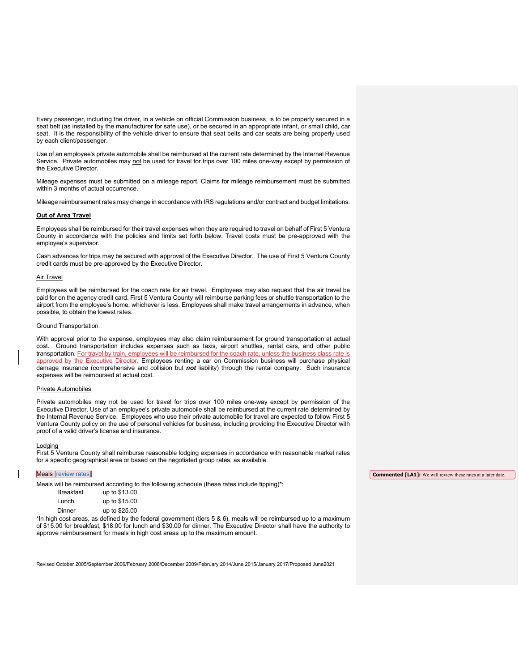Every passenger, including the driver, in a vehicle on official Commission business, is to be properly secured in a seat belt (as installed by the manufacturer for safe use), or be secured in an appropriate infant, or small child, car seat. It is the responsibility of the vehicle driver to ensure that seat belts and car seats are being properly used by each client/passenger.

Use of an employee's private automobile shall be reimbursed at the current rate determined by the Internal Revenue Service. Private automobiles may not be used for travel for trips over 100 miles one-way except by permission of the Executive Director.

Mileage expenses must be submitted on a mileage report. Claims for mileage reimbursement must be submitted within 3 months of actual occurrence.

Mileage reimbursement rates may change in accordance with IRS regulations and/or contract and budget limitations.

#### **Out of Area Travel**

Employees shall be reimbursed for their travel expenses when they are required to travel on behalf of First 5 Ventura County in accordance with the policies and limits set forth below. Travel costs must be pre-approved with the employee's supervisor.

Cash advances for trips may be secured with approval of the Executive Director. The use of First 5 Ventura County credit cards must be pre-approved by the Executive Director.

#### Air Travel

Employees will be reimbursed for the coach rate for air travel. Employees may also request that the air travel be paid for on the agency credit card. First 5 Ventura County will reimburse parking fees or shuttle transportation to the airport from the employee's home, whichever is less. Employees shall make travel arrangements in advance, when possible, to obtain the lowest rates.

#### Ground Transportation

With approval prior to the expense, employees may also claim reimbursement for ground transportation at actual cost. Ground transportation includes expenses such as taxis, airport shuttles, rental cars, and other public transportation. For travel by train, employees will be reimbursed for the coach rate, unless the business class rate is approved by the Executive Director. Employees renting a car on Commission business will purchase physical damage insurance (comprehensive and collision but *not* liability) through the rental company. Such insurance expenses will be reimbursed at actual cost.

#### Private Automobiles

Private automobiles may not be used for travel for trips over 100 miles one-way except by permission of the Executive Director. Use of an employee's private automobile shall be reimbursed at the current rate determined by the Internal Revenue Service. Employees who use their private automobile for travel are expected to follow First 5 Ventura County policy on the use of personal vehicles for business, including providing the Executive Director with proof of a valid driver's license and insurance.

#### Lodging

First 5 Ventura County shall reimburse reasonable lodging expenses in accordance with reasonable market rates for a specific geographical area or based on the negotiated group rates, as available.

# Meals [review rates]

Meals will be reimbursed according to the following schedule (these rates include tipping)\*:

| <b>Breakfast</b> | up to \$13.00 |
|------------------|---------------|
| Lunch            | up to \$15.00 |
| Dinner           | up to \$25.00 |
|                  |               |

\*In high cost areas, as defined by the federal government (tiers 5 & 6), meals will be reimbursed up to a maximum of \$15.00 for breakfast, \$18.00 for lunch and \$30.00 for dinner. The Executive Director shall have the authority to approve reimbursement for meals in high cost areas up to the maximum amount.

Revised October 2005/September 2006/February 2008/December 2009/February 2014/June 2015/January 2017/Proposed June2021

# **Commented [LA1]:** We will review these rates at a later date.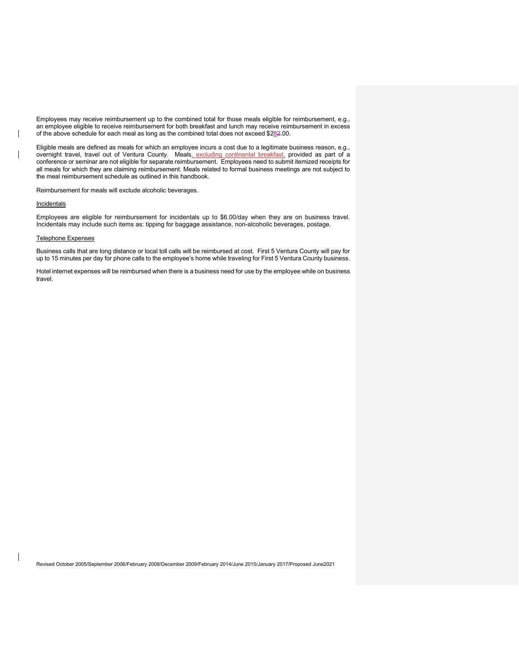Employees may receive reimbursement up to the combined total for those meals eligible for reimbursement, e.g., an employee eligible to receive reimbursement for both breakfast and lunch may receive reimbursement in excess of the above schedule for each meal as long as the combined total does not exceed \$282.00.

Eligible meals are defined as meals for which an employee incurs a cost due to a legitimate business reason, e.g., overnight travel, travel out of Ventura County. Meals, excluding continental breakfast, provided as part of a conference or seminar are not eligible for separate reimbursement. Employees need to submit itemized receipts for all meals for which they are claiming reimbursement. Meals related to formal business meetings are not subject to the meal reimbursement schedule as outlined in this handbook.

Reimbursement for meals will exclude alcoholic beverages.

# **Incidentals**

Employees are eligible for reimbursement for incidentals up to \$6.00/day when they are on business travel. Incidentals may include such items as: tipping for baggage assistance, non-alcoholic beverages, postage.

# Telephone Expenses

Business calls that are long distance or local toll calls will be reimbursed at cost. First 5 Ventura County will pay for up to 15 minutes per day for phone calls to the employee's home while traveling for First 5 Ventura County business.

Hotel internet expenses will be reimbursed when there is a business need for use by the employee while on business travel.